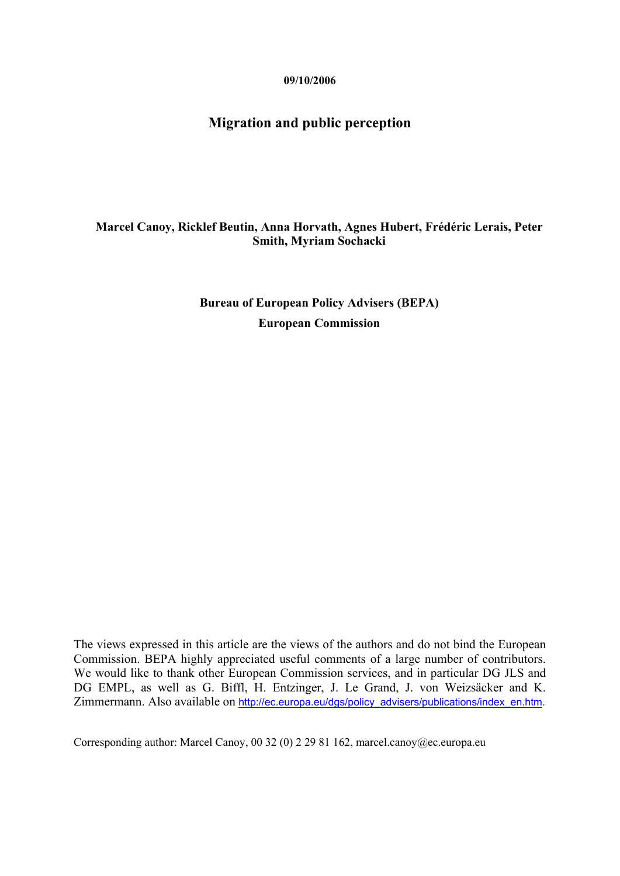**09/10/2006** 

## **Migration and public perception**

### **Marcel Canoy, Ricklef Beutin, Anna Horvath, Agnes Hubert, Frédéric Lerais, Peter Smith, Myriam Sochacki**

**Bureau of European Policy Advisers (BEPA) European Commission** 

The views expressed in this article are the views of the authors and do not bind the European Commission. BEPA highly appreciated useful comments of a large number of contributors. We would like to thank other European Commission services, and in particular DG JLS and DG EMPL, as well as G. Biffl, H. Entzinger, J. Le Grand, J. von Weizsäcker and K. Zimmermann. Also available on http://ec.europa.eu/dgs/policy\_advisers/publications/index\_en.htm.

Corresponding author: Marcel Canoy, 00 32 (0) 2 29 81 162, marcel.canoy@ec.europa.eu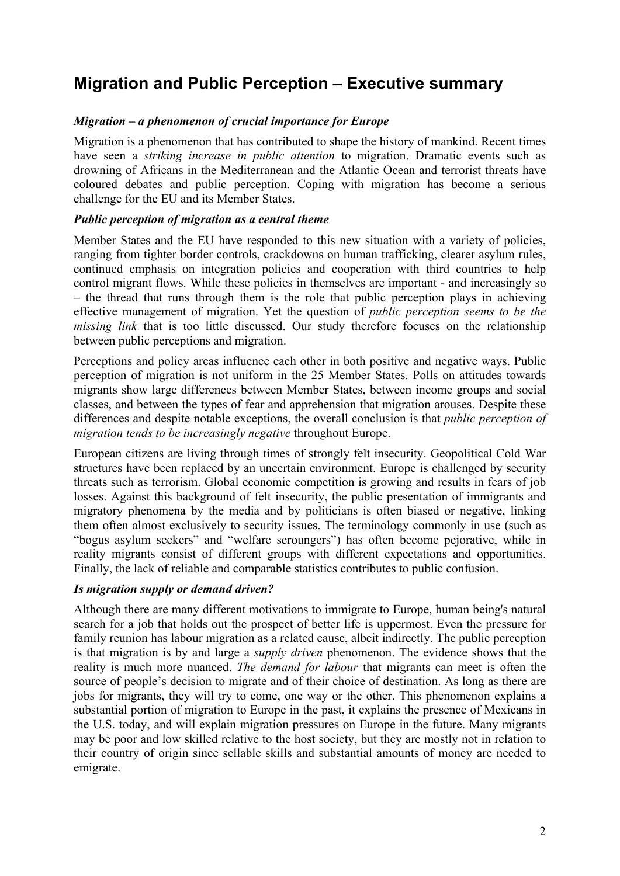# **Migration and Public Perception – Executive summary**

## *Migration – a phenomenon of crucial importance for Europe*

Migration is a phenomenon that has contributed to shape the history of mankind. Recent times have seen a *striking increase in public attention* to migration. Dramatic events such as drowning of Africans in the Mediterranean and the Atlantic Ocean and terrorist threats have coloured debates and public perception. Coping with migration has become a serious challenge for the EU and its Member States.

### *Public perception of migration as a central theme*

Member States and the EU have responded to this new situation with a variety of policies, ranging from tighter border controls, crackdowns on human trafficking, clearer asylum rules, continued emphasis on integration policies and cooperation with third countries to help control migrant flows. While these policies in themselves are important - and increasingly so – the thread that runs through them is the role that public perception plays in achieving effective management of migration. Yet the question of *public perception seems to be the missing link* that is too little discussed. Our study therefore focuses on the relationship between public perceptions and migration.

Perceptions and policy areas influence each other in both positive and negative ways. Public perception of migration is not uniform in the 25 Member States. Polls on attitudes towards migrants show large differences between Member States, between income groups and social classes, and between the types of fear and apprehension that migration arouses. Despite these differences and despite notable exceptions, the overall conclusion is that *public perception of migration tends to be increasingly negative* throughout Europe.

European citizens are living through times of strongly felt insecurity. Geopolitical Cold War structures have been replaced by an uncertain environment. Europe is challenged by security threats such as terrorism. Global economic competition is growing and results in fears of job losses. Against this background of felt insecurity, the public presentation of immigrants and migratory phenomena by the media and by politicians is often biased or negative, linking them often almost exclusively to security issues. The terminology commonly in use (such as "bogus asylum seekers" and "welfare scroungers") has often become pejorative, while in reality migrants consist of different groups with different expectations and opportunities. Finally, the lack of reliable and comparable statistics contributes to public confusion.

### *Is migration supply or demand driven?*

Although there are many different motivations to immigrate to Europe, human being's natural search for a job that holds out the prospect of better life is uppermost. Even the pressure for family reunion has labour migration as a related cause, albeit indirectly. The public perception is that migration is by and large a *supply driven* phenomenon. The evidence shows that the reality is much more nuanced. *The demand for labour* that migrants can meet is often the source of people's decision to migrate and of their choice of destination. As long as there are jobs for migrants, they will try to come, one way or the other. This phenomenon explains a substantial portion of migration to Europe in the past, it explains the presence of Mexicans in the U.S. today, and will explain migration pressures on Europe in the future. Many migrants may be poor and low skilled relative to the host society, but they are mostly not in relation to their country of origin since sellable skills and substantial amounts of money are needed to emigrate.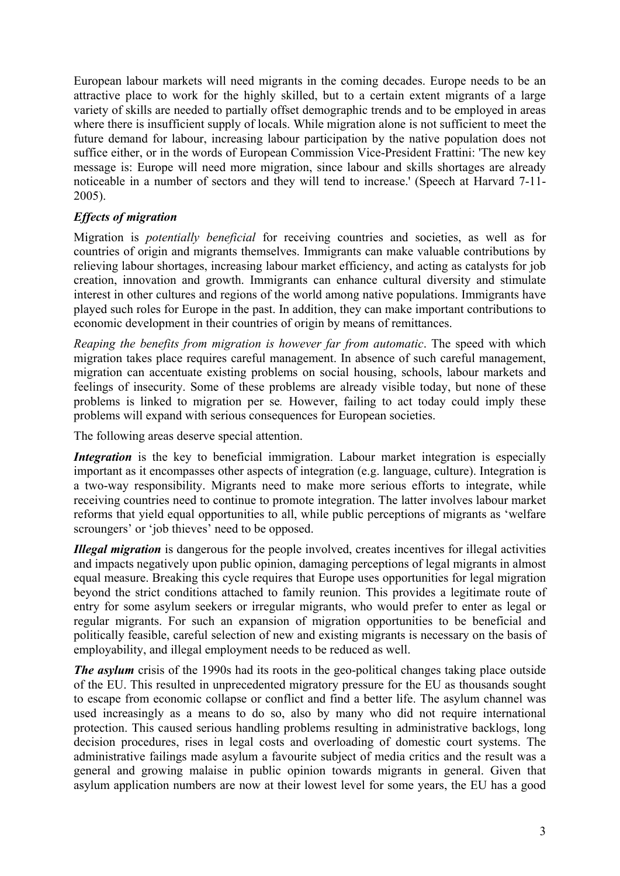European labour markets will need migrants in the coming decades. Europe needs to be an attractive place to work for the highly skilled, but to a certain extent migrants of a large variety of skills are needed to partially offset demographic trends and to be employed in areas where there is insufficient supply of locals. While migration alone is not sufficient to meet the future demand for labour, increasing labour participation by the native population does not suffice either, or in the words of European Commission Vice-President Frattini: 'The new key message is: Europe will need more migration, since labour and skills shortages are already noticeable in a number of sectors and they will tend to increase.' (Speech at Harvard 7-11- 2005).

## *Effects of migration*

Migration is *potentially beneficial* for receiving countries and societies, as well as for countries of origin and migrants themselves. Immigrants can make valuable contributions by relieving labour shortages, increasing labour market efficiency, and acting as catalysts for job creation, innovation and growth. Immigrants can enhance cultural diversity and stimulate interest in other cultures and regions of the world among native populations. Immigrants have played such roles for Europe in the past. In addition, they can make important contributions to economic development in their countries of origin by means of remittances.

*Reaping the benefits from migration is however far from automatic*. The speed with which migration takes place requires careful management. In absence of such careful management, migration can accentuate existing problems on social housing, schools, labour markets and feelings of insecurity. Some of these problems are already visible today, but none of these problems is linked to migration per se*.* However, failing to act today could imply these problems will expand with serious consequences for European societies.

The following areas deserve special attention.

*Integration* is the key to beneficial immigration. Labour market integration is especially important as it encompasses other aspects of integration (e.g. language, culture). Integration is a two-way responsibility. Migrants need to make more serious efforts to integrate, while receiving countries need to continue to promote integration. The latter involves labour market reforms that yield equal opportunities to all, while public perceptions of migrants as 'welfare scroungers' or 'job thieves' need to be opposed.

*Illegal migration* is dangerous for the people involved, creates incentives for illegal activities and impacts negatively upon public opinion, damaging perceptions of legal migrants in almost equal measure. Breaking this cycle requires that Europe uses opportunities for legal migration beyond the strict conditions attached to family reunion. This provides a legitimate route of entry for some asylum seekers or irregular migrants, who would prefer to enter as legal or regular migrants. For such an expansion of migration opportunities to be beneficial and politically feasible, careful selection of new and existing migrants is necessary on the basis of employability, and illegal employment needs to be reduced as well.

*The asylum* crisis of the 1990s had its roots in the geo-political changes taking place outside of the EU. This resulted in unprecedented migratory pressure for the EU as thousands sought to escape from economic collapse or conflict and find a better life. The asylum channel was used increasingly as a means to do so, also by many who did not require international protection. This caused serious handling problems resulting in administrative backlogs, long decision procedures, rises in legal costs and overloading of domestic court systems. The administrative failings made asylum a favourite subject of media critics and the result was a general and growing malaise in public opinion towards migrants in general. Given that asylum application numbers are now at their lowest level for some years, the EU has a good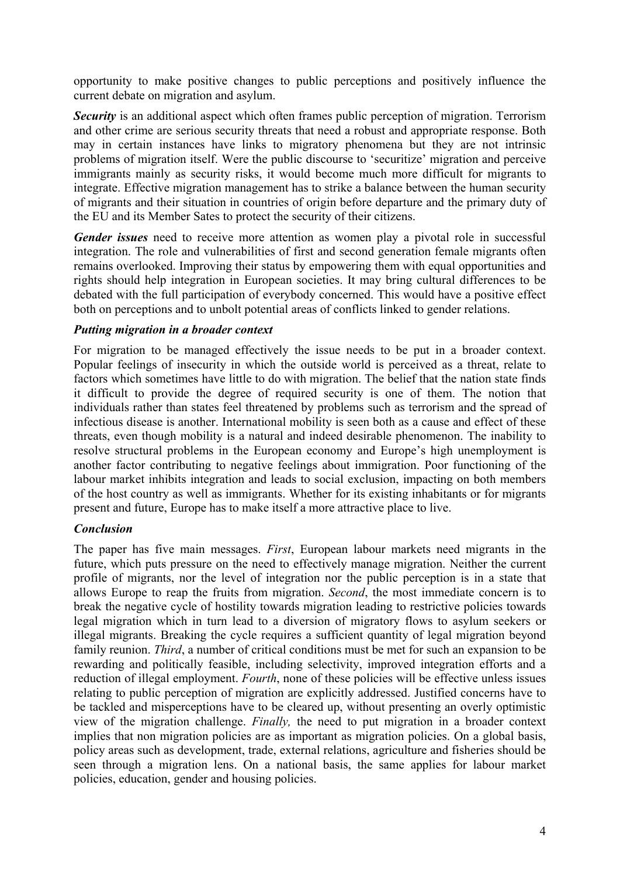opportunity to make positive changes to public perceptions and positively influence the current debate on migration and asylum.

**Security** is an additional aspect which often frames public perception of migration. Terrorism and other crime are serious security threats that need a robust and appropriate response. Both may in certain instances have links to migratory phenomena but they are not intrinsic problems of migration itself. Were the public discourse to 'securitize' migration and perceive immigrants mainly as security risks, it would become much more difficult for migrants to integrate. Effective migration management has to strike a balance between the human security of migrants and their situation in countries of origin before departure and the primary duty of the EU and its Member Sates to protect the security of their citizens.

*Gender issues* need to receive more attention as women play a pivotal role in successful integration. The role and vulnerabilities of first and second generation female migrants often remains overlooked. Improving their status by empowering them with equal opportunities and rights should help integration in European societies. It may bring cultural differences to be debated with the full participation of everybody concerned. This would have a positive effect both on perceptions and to unbolt potential areas of conflicts linked to gender relations.

#### *Putting migration in a broader context*

For migration to be managed effectively the issue needs to be put in a broader context. Popular feelings of insecurity in which the outside world is perceived as a threat, relate to factors which sometimes have little to do with migration. The belief that the nation state finds it difficult to provide the degree of required security is one of them. The notion that individuals rather than states feel threatened by problems such as terrorism and the spread of infectious disease is another. International mobility is seen both as a cause and effect of these threats, even though mobility is a natural and indeed desirable phenomenon. The inability to resolve structural problems in the European economy and Europe's high unemployment is another factor contributing to negative feelings about immigration. Poor functioning of the labour market inhibits integration and leads to social exclusion, impacting on both members of the host country as well as immigrants. Whether for its existing inhabitants or for migrants present and future, Europe has to make itself a more attractive place to live.

#### *Conclusion*

The paper has five main messages. *First*, European labour markets need migrants in the future, which puts pressure on the need to effectively manage migration. Neither the current profile of migrants, nor the level of integration nor the public perception is in a state that allows Europe to reap the fruits from migration. *Second*, the most immediate concern is to break the negative cycle of hostility towards migration leading to restrictive policies towards legal migration which in turn lead to a diversion of migratory flows to asylum seekers or illegal migrants. Breaking the cycle requires a sufficient quantity of legal migration beyond family reunion. *Third*, a number of critical conditions must be met for such an expansion to be rewarding and politically feasible, including selectivity, improved integration efforts and a reduction of illegal employment. *Fourth*, none of these policies will be effective unless issues relating to public perception of migration are explicitly addressed. Justified concerns have to be tackled and misperceptions have to be cleared up, without presenting an overly optimistic view of the migration challenge. *Finally,* the need to put migration in a broader context implies that non migration policies are as important as migration policies. On a global basis, policy areas such as development, trade, external relations, agriculture and fisheries should be seen through a migration lens. On a national basis, the same applies for labour market policies, education, gender and housing policies.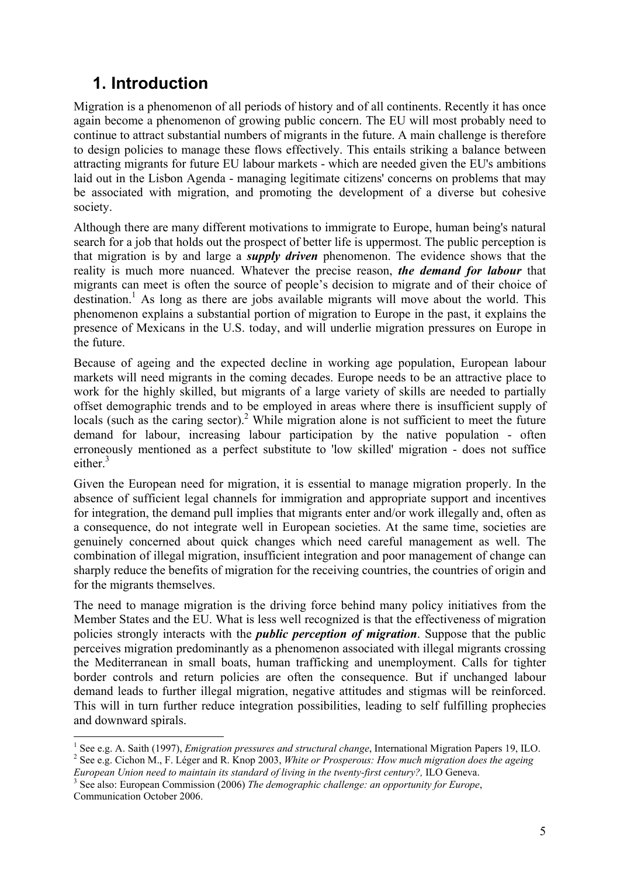# **1. Introduction**

Migration is a phenomenon of all periods of history and of all continents. Recently it has once again become a phenomenon of growing public concern. The EU will most probably need to continue to attract substantial numbers of migrants in the future. A main challenge is therefore to design policies to manage these flows effectively. This entails striking a balance between attracting migrants for future EU labour markets - which are needed given the EU's ambitions laid out in the Lisbon Agenda - managing legitimate citizens' concerns on problems that may be associated with migration, and promoting the development of a diverse but cohesive society.

Although there are many different motivations to immigrate to Europe, human being's natural search for a job that holds out the prospect of better life is uppermost. The public perception is that migration is by and large a *supply driven* phenomenon. The evidence shows that the reality is much more nuanced. Whatever the precise reason, *the demand for labour* that migrants can meet is often the source of people's decision to migrate and of their choice of destination.<sup>1</sup> As long as there are jobs available migrants will move about the world. This phenomenon explains a substantial portion of migration to Europe in the past, it explains the presence of Mexicans in the U.S. today, and will underlie migration pressures on Europe in the future.

Because of ageing and the expected decline in working age population, European labour markets will need migrants in the coming decades. Europe needs to be an attractive place to work for the highly skilled, but migrants of a large variety of skills are needed to partially offset demographic trends and to be employed in areas where there is insufficient supply of locals (such as the caring sector).<sup>2</sup> While migration alone is not sufficient to meet the future demand for labour, increasing labour participation by the native population - often erroneously mentioned as a perfect substitute to 'low skilled' migration - does not suffice either.<sup>3</sup>

Given the European need for migration, it is essential to manage migration properly. In the absence of sufficient legal channels for immigration and appropriate support and incentives for integration, the demand pull implies that migrants enter and/or work illegally and, often as a consequence, do not integrate well in European societies. At the same time, societies are genuinely concerned about quick changes which need careful management as well. The combination of illegal migration, insufficient integration and poor management of change can sharply reduce the benefits of migration for the receiving countries, the countries of origin and for the migrants themselves.

The need to manage migration is the driving force behind many policy initiatives from the Member States and the EU. What is less well recognized is that the effectiveness of migration policies strongly interacts with the *public perception of migration*. Suppose that the public perceives migration predominantly as a phenomenon associated with illegal migrants crossing the Mediterranean in small boats, human trafficking and unemployment. Calls for tighter border controls and return policies are often the consequence. But if unchanged labour demand leads to further illegal migration, negative attitudes and stigmas will be reinforced. This will in turn further reduce integration possibilities, leading to self fulfilling prophecies and downward spirals.

<sup>1&</sup>lt;br><sup>1</sup> See e.g. A. Saith (1997), *Emigration pressures and structural change*, International Migration Papers 19, ILO.<br><sup>2</sup> See e.g. Gisben M. E. Léger and B. Knop 2003, *White an Presponsuel Haw much migration does the goei* <sup>2</sup> See e.g. Cichon M., F. Léger and R. Knop 2003, *White or Prosperous: How much migration does the ageing* 

*European Union need to maintain its standard of living in the twenty-first century?,* ILO Geneva. 3 <sup>3</sup> See also: European Commission (2006) *The demographic challenge: an opportunity for Europe*,

Communication October 2006.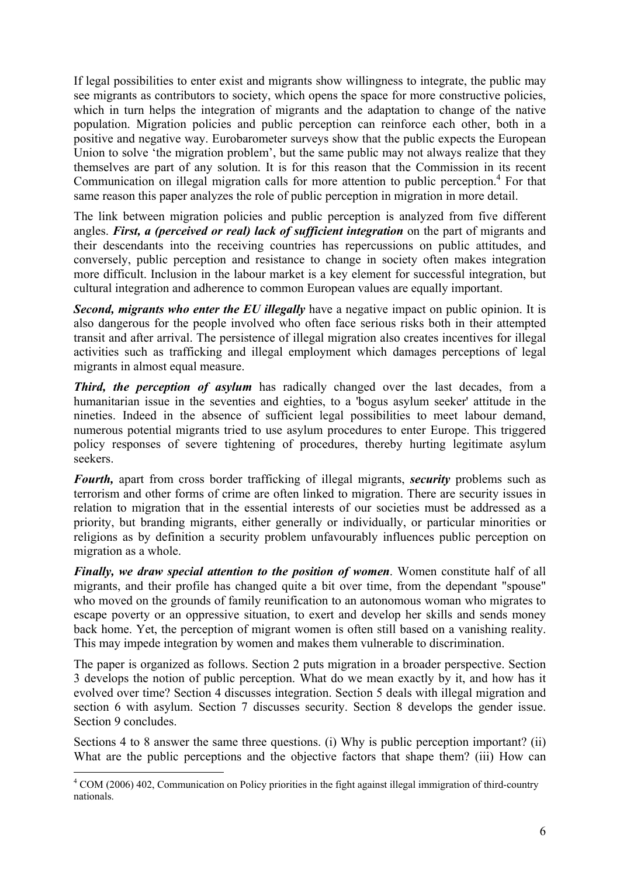If legal possibilities to enter exist and migrants show willingness to integrate, the public may see migrants as contributors to society, which opens the space for more constructive policies, which in turn helps the integration of migrants and the adaptation to change of the native population. Migration policies and public perception can reinforce each other, both in a positive and negative way. Eurobarometer surveys show that the public expects the European Union to solve 'the migration problem', but the same public may not always realize that they themselves are part of any solution. It is for this reason that the Commission in its recent Communication on illegal migration calls for more attention to public perception.<sup>4</sup> For that same reason this paper analyzes the role of public perception in migration in more detail.

The link between migration policies and public perception is analyzed from five different angles. *First, a (perceived or real) lack of sufficient integration* on the part of migrants and their descendants into the receiving countries has repercussions on public attitudes, and conversely, public perception and resistance to change in society often makes integration more difficult. Inclusion in the labour market is a key element for successful integration, but cultural integration and adherence to common European values are equally important.

*Second, migrants who enter the EU illegally have a negative impact on public opinion. It is* also dangerous for the people involved who often face serious risks both in their attempted transit and after arrival. The persistence of illegal migration also creates incentives for illegal activities such as trafficking and illegal employment which damages perceptions of legal migrants in almost equal measure.

**Third, the perception of asylum** has radically changed over the last decades, from a humanitarian issue in the seventies and eighties, to a 'bogus asylum seeker' attitude in the nineties. Indeed in the absence of sufficient legal possibilities to meet labour demand, numerous potential migrants tried to use asylum procedures to enter Europe. This triggered policy responses of severe tightening of procedures, thereby hurting legitimate asylum seekers.

*Fourth,* apart from cross border trafficking of illegal migrants, *security* problems such as terrorism and other forms of crime are often linked to migration. There are security issues in relation to migration that in the essential interests of our societies must be addressed as a priority, but branding migrants, either generally or individually, or particular minorities or religions as by definition a security problem unfavourably influences public perception on migration as a whole.

*Finally, we draw special attention to the position of women*. Women constitute half of all migrants, and their profile has changed quite a bit over time, from the dependant "spouse" who moved on the grounds of family reunification to an autonomous woman who migrates to escape poverty or an oppressive situation, to exert and develop her skills and sends money back home. Yet, the perception of migrant women is often still based on a vanishing reality. This may impede integration by women and makes them vulnerable to discrimination.

The paper is organized as follows. Section 2 puts migration in a broader perspective. Section 3 develops the notion of public perception. What do we mean exactly by it, and how has it evolved over time? Section 4 discusses integration. Section 5 deals with illegal migration and section 6 with asylum. Section 7 discusses security. Section 8 develops the gender issue. Section 9 concludes.

Sections 4 to 8 answer the same three questions. (i) Why is public perception important? (ii) What are the public perceptions and the objective factors that shape them? (iii) How can

<sup>&</sup>lt;sup>4</sup> COM (2006) 402, Communication on Policy priorities in the fight against illegal immigration of third-country nationals.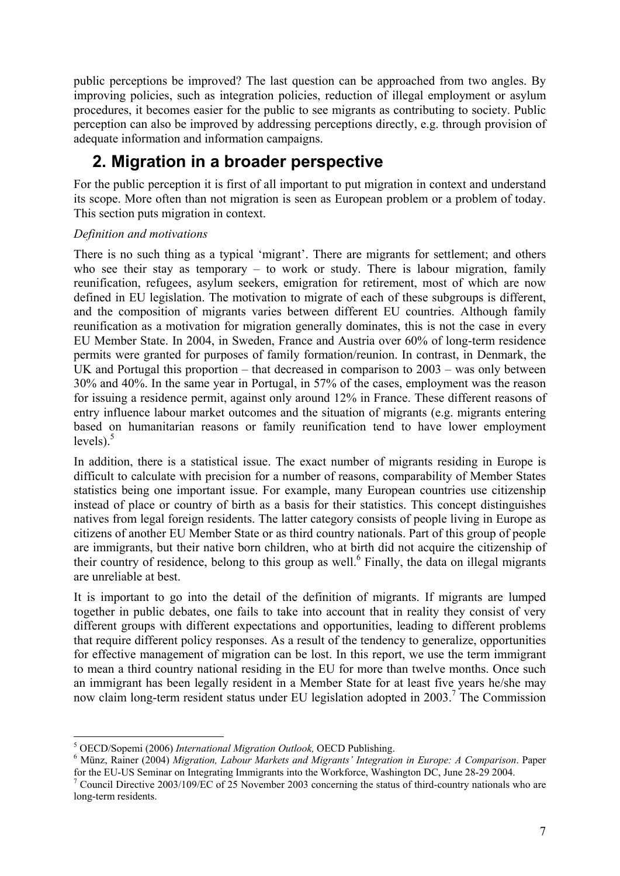public perceptions be improved? The last question can be approached from two angles. By improving policies, such as integration policies, reduction of illegal employment or asylum procedures, it becomes easier for the public to see migrants as contributing to society. Public perception can also be improved by addressing perceptions directly, e.g. through provision of adequate information and information campaigns.

# **2. Migration in a broader perspective**

For the public perception it is first of all important to put migration in context and understand its scope. More often than not migration is seen as European problem or a problem of today. This section puts migration in context.

## *Definition and motivations*

There is no such thing as a typical 'migrant'. There are migrants for settlement; and others who see their stay as temporary – to work or study. There is labour migration, family reunification, refugees, asylum seekers, emigration for retirement, most of which are now defined in EU legislation. The motivation to migrate of each of these subgroups is different, and the composition of migrants varies between different EU countries. Although family reunification as a motivation for migration generally dominates, this is not the case in every EU Member State. In 2004, in Sweden, France and Austria over 60% of long-term residence permits were granted for purposes of family formation/reunion. In contrast, in Denmark, the UK and Portugal this proportion – that decreased in comparison to 2003 – was only between 30% and 40%. In the same year in Portugal, in 57% of the cases, employment was the reason for issuing a residence permit, against only around 12% in France. These different reasons of entry influence labour market outcomes and the situation of migrants (e.g. migrants entering based on humanitarian reasons or family reunification tend to have lower employment levels). $5$ 

In addition, there is a statistical issue. The exact number of migrants residing in Europe is difficult to calculate with precision for a number of reasons, comparability of Member States statistics being one important issue. For example, many European countries use citizenship instead of place or country of birth as a basis for their statistics. This concept distinguishes natives from legal foreign residents. The latter category consists of people living in Europe as citizens of another EU Member State or as third country nationals. Part of this group of people are immigrants, but their native born children, who at birth did not acquire the citizenship of their country of residence, belong to this group as well.<sup>6</sup> Finally, the data on illegal migrants are unreliable at best.

It is important to go into the detail of the definition of migrants. If migrants are lumped together in public debates, one fails to take into account that in reality they consist of very different groups with different expectations and opportunities, leading to different problems that require different policy responses. As a result of the tendency to generalize, opportunities for effective management of migration can be lost. In this report, we use the term immigrant to mean a third country national residing in the EU for more than twelve months. Once such an immigrant has been legally resident in a Member State for at least five years he/she may now claim long-term resident status under EU legislation adopted in 2003.<sup>7</sup> The Commission

<sup>1</sup> <sup>5</sup> OECD/Sopemi (2006) *International Migration Outlook*, OECD Publishing.<br><sup>6</sup> Ming. Beiner (2004) *Migration J shown Maybets and Migrants'* Integration

Münz, Rainer (2004) *Migration, Labour Markets and Migrants' Integration in Europe: A Comparison*. Paper for the EU-US Seminar on Integrating Immigrants into the Workforce, Washington DC, June 28-29 2004.

<sup>&</sup>lt;sup>7</sup> Council Directive 2003/109/EC of 25 November 2003 concerning the status of third-country nationals who are long-term residents.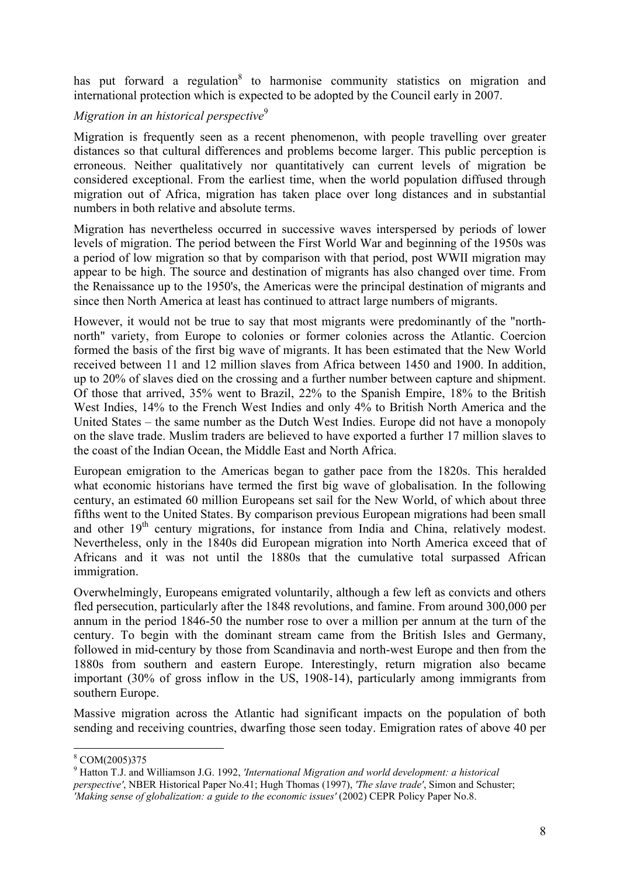has put forward a regulation<sup>8</sup> to harmonise community statistics on migration and international protection which is expected to be adopted by the Council early in 2007.

## *Migration in an historical perspective*<sup>9</sup>

Migration is frequently seen as a recent phenomenon, with people travelling over greater distances so that cultural differences and problems become larger. This public perception is erroneous. Neither qualitatively nor quantitatively can current levels of migration be considered exceptional. From the earliest time, when the world population diffused through migration out of Africa, migration has taken place over long distances and in substantial numbers in both relative and absolute terms.

Migration has nevertheless occurred in successive waves interspersed by periods of lower levels of migration. The period between the First World War and beginning of the 1950s was a period of low migration so that by comparison with that period, post WWII migration may appear to be high. The source and destination of migrants has also changed over time. From the Renaissance up to the 1950's, the Americas were the principal destination of migrants and since then North America at least has continued to attract large numbers of migrants.

However, it would not be true to say that most migrants were predominantly of the "northnorth" variety, from Europe to colonies or former colonies across the Atlantic. Coercion formed the basis of the first big wave of migrants. It has been estimated that the New World received between 11 and 12 million slaves from Africa between 1450 and 1900. In addition, up to 20% of slaves died on the crossing and a further number between capture and shipment. Of those that arrived, 35% went to Brazil, 22% to the Spanish Empire, 18% to the British West Indies, 14% to the French West Indies and only 4% to British North America and the United States – the same number as the Dutch West Indies. Europe did not have a monopoly on the slave trade. Muslim traders are believed to have exported a further 17 million slaves to the coast of the Indian Ocean, the Middle East and North Africa.

European emigration to the Americas began to gather pace from the 1820s. This heralded what economic historians have termed the first big wave of globalisation. In the following century, an estimated 60 million Europeans set sail for the New World, of which about three fifths went to the United States. By comparison previous European migrations had been small and other  $19<sup>th</sup>$  century migrations, for instance from India and China, relatively modest. Nevertheless, only in the 1840s did European migration into North America exceed that of Africans and it was not until the 1880s that the cumulative total surpassed African immigration.

Overwhelmingly, Europeans emigrated voluntarily, although a few left as convicts and others fled persecution, particularly after the 1848 revolutions, and famine. From around 300,000 per annum in the period 1846-50 the number rose to over a million per annum at the turn of the century. To begin with the dominant stream came from the British Isles and Germany, followed in mid-century by those from Scandinavia and north-west Europe and then from the 1880s from southern and eastern Europe. Interestingly, return migration also became important (30% of gross inflow in the US, 1908-14), particularly among immigrants from southern Europe.

Massive migration across the Atlantic had significant impacts on the population of both sending and receiving countries, dwarfing those seen today. Emigration rates of above 40 per

<sup>&</sup>lt;sup>8</sup> COM(2005)375

<sup>9</sup> Hatton T.J. and Williamson J.G. 1992, *'International Migration and world development: a historical perspective'*, NBER Historical Paper No.41; Hugh Thomas (1997), *'The slave trade'*, Simon and Schuster; *'Making sense of globalization: a guide to the economic issues'* (2002) CEPR Policy Paper No.8.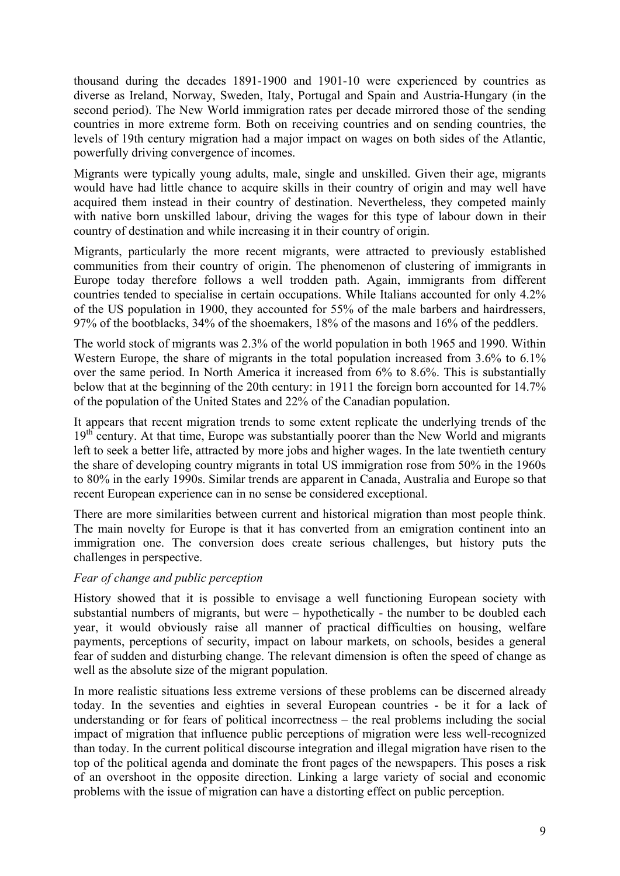thousand during the decades 1891-1900 and 1901-10 were experienced by countries as diverse as Ireland, Norway, Sweden, Italy, Portugal and Spain and Austria-Hungary (in the second period). The New World immigration rates per decade mirrored those of the sending countries in more extreme form. Both on receiving countries and on sending countries, the levels of 19th century migration had a major impact on wages on both sides of the Atlantic, powerfully driving convergence of incomes.

Migrants were typically young adults, male, single and unskilled. Given their age, migrants would have had little chance to acquire skills in their country of origin and may well have acquired them instead in their country of destination. Nevertheless, they competed mainly with native born unskilled labour, driving the wages for this type of labour down in their country of destination and while increasing it in their country of origin.

Migrants, particularly the more recent migrants, were attracted to previously established communities from their country of origin. The phenomenon of clustering of immigrants in Europe today therefore follows a well trodden path. Again, immigrants from different countries tended to specialise in certain occupations. While Italians accounted for only 4.2% of the US population in 1900, they accounted for 55% of the male barbers and hairdressers, 97% of the bootblacks, 34% of the shoemakers, 18% of the masons and 16% of the peddlers.

The world stock of migrants was 2.3% of the world population in both 1965 and 1990. Within Western Europe, the share of migrants in the total population increased from 3.6% to 6.1% over the same period. In North America it increased from 6% to 8.6%. This is substantially below that at the beginning of the 20th century: in 1911 the foreign born accounted for 14.7% of the population of the United States and 22% of the Canadian population.

It appears that recent migration trends to some extent replicate the underlying trends of the  $19<sup>th</sup>$  century. At that time, Europe was substantially poorer than the New World and migrants left to seek a better life, attracted by more jobs and higher wages. In the late twentieth century the share of developing country migrants in total US immigration rose from 50% in the 1960s to 80% in the early 1990s. Similar trends are apparent in Canada, Australia and Europe so that recent European experience can in no sense be considered exceptional.

There are more similarities between current and historical migration than most people think. The main novelty for Europe is that it has converted from an emigration continent into an immigration one. The conversion does create serious challenges, but history puts the challenges in perspective.

### *Fear of change and public perception*

History showed that it is possible to envisage a well functioning European society with substantial numbers of migrants, but were – hypothetically - the number to be doubled each year, it would obviously raise all manner of practical difficulties on housing, welfare payments, perceptions of security, impact on labour markets, on schools, besides a general fear of sudden and disturbing change. The relevant dimension is often the speed of change as well as the absolute size of the migrant population.

In more realistic situations less extreme versions of these problems can be discerned already today. In the seventies and eighties in several European countries - be it for a lack of understanding or for fears of political incorrectness – the real problems including the social impact of migration that influence public perceptions of migration were less well-recognized than today. In the current political discourse integration and illegal migration have risen to the top of the political agenda and dominate the front pages of the newspapers. This poses a risk of an overshoot in the opposite direction. Linking a large variety of social and economic problems with the issue of migration can have a distorting effect on public perception.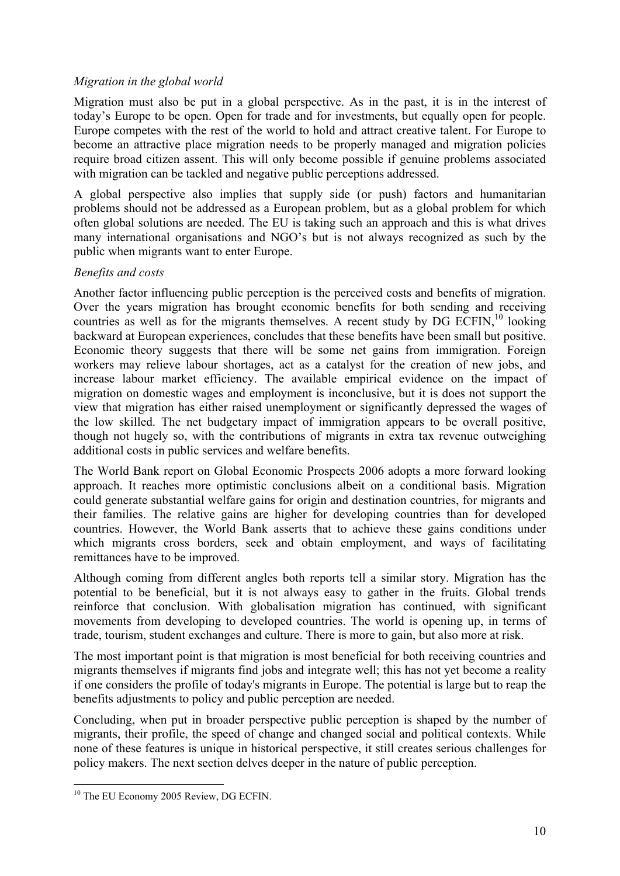### *Migration in the global world*

Migration must also be put in a global perspective. As in the past, it is in the interest of today's Europe to be open. Open for trade and for investments, but equally open for people. Europe competes with the rest of the world to hold and attract creative talent. For Europe to become an attractive place migration needs to be properly managed and migration policies require broad citizen assent. This will only become possible if genuine problems associated with migration can be tackled and negative public perceptions addressed.

A global perspective also implies that supply side (or push) factors and humanitarian problems should not be addressed as a European problem, but as a global problem for which often global solutions are needed. The EU is taking such an approach and this is what drives many international organisations and NGO's but is not always recognized as such by the public when migrants want to enter Europe.

#### *Benefits and costs*

Another factor influencing public perception is the perceived costs and benefits of migration. Over the years migration has brought economic benefits for both sending and receiving countries as well as for the migrants themselves. A recent study by  $DG$  ECFIN,  $10$  looking backward at European experiences, concludes that these benefits have been small but positive. Economic theory suggests that there will be some net gains from immigration. Foreign workers may relieve labour shortages, act as a catalyst for the creation of new jobs, and increase labour market efficiency. The available empirical evidence on the impact of migration on domestic wages and employment is inconclusive, but it is does not support the view that migration has either raised unemployment or significantly depressed the wages of the low skilled. The net budgetary impact of immigration appears to be overall positive, though not hugely so, with the contributions of migrants in extra tax revenue outweighing additional costs in public services and welfare benefits.

The World Bank report on Global Economic Prospects 2006 adopts a more forward looking approach. It reaches more optimistic conclusions albeit on a conditional basis. Migration could generate substantial welfare gains for origin and destination countries, for migrants and their families. The relative gains are higher for developing countries than for developed countries. However, the World Bank asserts that to achieve these gains conditions under which migrants cross borders, seek and obtain employment, and ways of facilitating remittances have to be improved.

Although coming from different angles both reports tell a similar story. Migration has the potential to be beneficial, but it is not always easy to gather in the fruits. Global trends reinforce that conclusion. With globalisation migration has continued, with significant movements from developing to developed countries. The world is opening up, in terms of trade, tourism, student exchanges and culture. There is more to gain, but also more at risk.

The most important point is that migration is most beneficial for both receiving countries and migrants themselves if migrants find jobs and integrate well; this has not yet become a reality if one considers the profile of today's migrants in Europe. The potential is large but to reap the benefits adjustments to policy and public perception are needed.

Concluding, when put in broader perspective public perception is shaped by the number of migrants, their profile, the speed of change and changed social and political contexts. While none of these features is unique in historical perspective, it still creates serious challenges for policy makers. The next section delves deeper in the nature of public perception.

<sup>&</sup>lt;sup>10</sup> The EU Economy 2005 Review, DG ECFIN.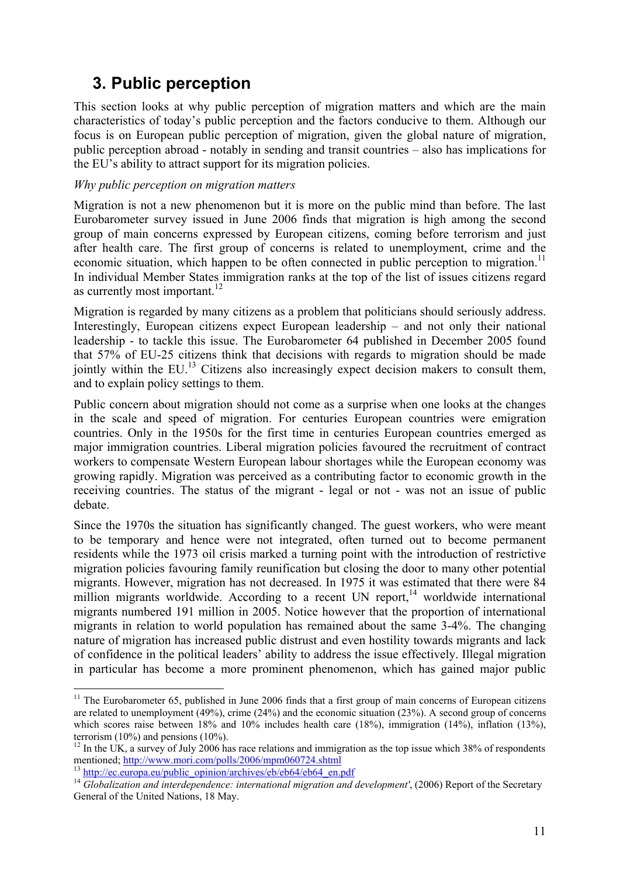# **3. Public perception**

This section looks at why public perception of migration matters and which are the main characteristics of today's public perception and the factors conducive to them. Although our focus is on European public perception of migration, given the global nature of migration, public perception abroad - notably in sending and transit countries – also has implications for the EU's ability to attract support for its migration policies.

#### *Why public perception on migration matters*

Migration is not a new phenomenon but it is more on the public mind than before. The last Eurobarometer survey issued in June 2006 finds that migration is high among the second group of main concerns expressed by European citizens, coming before terrorism and just after health care. The first group of concerns is related to unemployment, crime and the economic situation, which happen to be often connected in public perception to migration.<sup>11</sup> In individual Member States immigration ranks at the top of the list of issues citizens regard as currently most important.<sup>12</sup>

Migration is regarded by many citizens as a problem that politicians should seriously address. Interestingly, European citizens expect European leadership – and not only their national leadership - to tackle this issue. The Eurobarometer 64 published in December 2005 found that 57% of EU-25 citizens think that decisions with regards to migration should be made jointly within the EU.13 Citizens also increasingly expect decision makers to consult them, and to explain policy settings to them.

Public concern about migration should not come as a surprise when one looks at the changes in the scale and speed of migration. For centuries European countries were emigration countries. Only in the 1950s for the first time in centuries European countries emerged as major immigration countries. Liberal migration policies favoured the recruitment of contract workers to compensate Western European labour shortages while the European economy was growing rapidly. Migration was perceived as a contributing factor to economic growth in the receiving countries. The status of the migrant - legal or not - was not an issue of public debate.

Since the 1970s the situation has significantly changed. The guest workers, who were meant to be temporary and hence were not integrated, often turned out to become permanent residents while the 1973 oil crisis marked a turning point with the introduction of restrictive migration policies favouring family reunification but closing the door to many other potential migrants. However, migration has not decreased. In 1975 it was estimated that there were 84 million migrants worldwide. According to a recent UN report, $14$  worldwide international migrants numbered 191 million in 2005. Notice however that the proportion of international migrants in relation to world population has remained about the same 3-4%. The changing nature of migration has increased public distrust and even hostility towards migrants and lack of confidence in the political leaders' ability to address the issue effectively. Illegal migration in particular has become a more prominent phenomenon, which has gained major public

 $11$  The Eurobarometer 65, published in June 2006 finds that a first group of main concerns of European citizens are related to unemployment (49%), crime (24%) and the economic situation (23%). A second group of concerns which scores raise between 18% and 10% includes health care (18%), immigration (14%), inflation (13%), terrorism  $(10\%)$  and pensions  $(10\%)$ .

<sup>&</sup>lt;sup>12</sup> In the UK, a survey of July 2006 has race relations and immigration as the top issue which 38% of respondents mentioned;  $\frac{http://www.mori.com/polls/2006/mpm060724.shtml}{http://www.mori.com/polls/2006/mpm060724.shtml}$ 

 $\frac{^{13} \text{ http://ec.europa.eu/public\_opinion/archives/eb/ebb64/ebb4_en.pdf}{^{14} Globalization and interdependence: international migration and development'. (2006) Report of the Secretary.$ General of the United Nations, 18 May.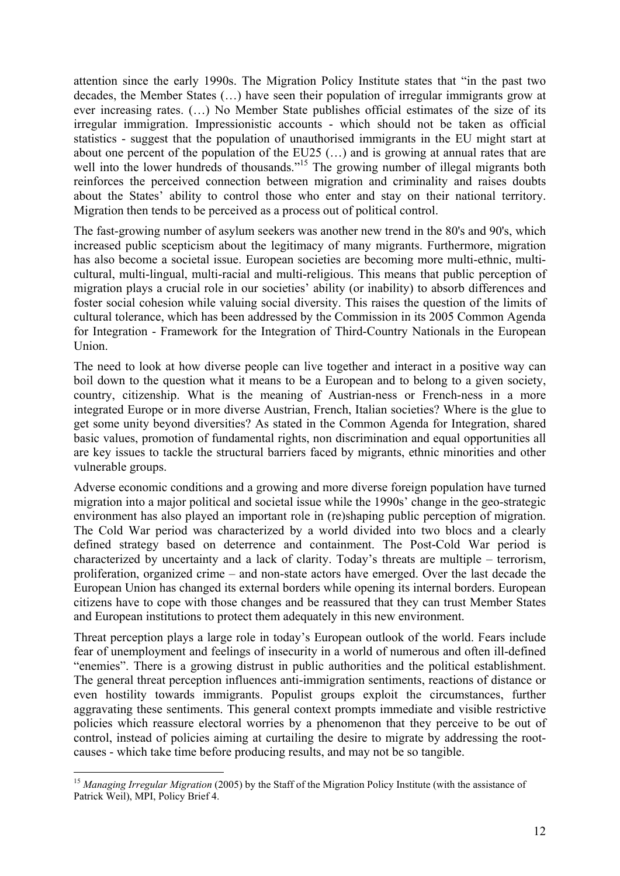attention since the early 1990s. The Migration Policy Institute states that "in the past two decades, the Member States (…) have seen their population of irregular immigrants grow at ever increasing rates. (…) No Member State publishes official estimates of the size of its irregular immigration. Impressionistic accounts - which should not be taken as official statistics - suggest that the population of unauthorised immigrants in the EU might start at about one percent of the population of the EU25 (…) and is growing at annual rates that are well into the lower hundreds of thousands."<sup>15</sup> The growing number of illegal migrants both reinforces the perceived connection between migration and criminality and raises doubts about the States' ability to control those who enter and stay on their national territory. Migration then tends to be perceived as a process out of political control.

The fast-growing number of asylum seekers was another new trend in the 80's and 90's, which increased public scepticism about the legitimacy of many migrants. Furthermore, migration has also become a societal issue. European societies are becoming more multi-ethnic, multicultural, multi-lingual, multi-racial and multi-religious. This means that public perception of migration plays a crucial role in our societies' ability (or inability) to absorb differences and foster social cohesion while valuing social diversity. This raises the question of the limits of cultural tolerance, which has been addressed by the Commission in its 2005 Common Agenda for Integration - Framework for the Integration of Third-Country Nationals in the European Union.

The need to look at how diverse people can live together and interact in a positive way can boil down to the question what it means to be a European and to belong to a given society, country, citizenship. What is the meaning of Austrian-ness or French-ness in a more integrated Europe or in more diverse Austrian, French, Italian societies? Where is the glue to get some unity beyond diversities? As stated in the Common Agenda for Integration, shared basic values, promotion of fundamental rights, non discrimination and equal opportunities all are key issues to tackle the structural barriers faced by migrants, ethnic minorities and other vulnerable groups.

Adverse economic conditions and a growing and more diverse foreign population have turned migration into a major political and societal issue while the 1990s' change in the geo-strategic environment has also played an important role in (re)shaping public perception of migration. The Cold War period was characterized by a world divided into two blocs and a clearly defined strategy based on deterrence and containment. The Post-Cold War period is characterized by uncertainty and a lack of clarity. Today's threats are multiple – terrorism, proliferation, organized crime – and non-state actors have emerged. Over the last decade the European Union has changed its external borders while opening its internal borders. European citizens have to cope with those changes and be reassured that they can trust Member States and European institutions to protect them adequately in this new environment.

Threat perception plays a large role in today's European outlook of the world. Fears include fear of unemployment and feelings of insecurity in a world of numerous and often ill-defined "enemies". There is a growing distrust in public authorities and the political establishment. The general threat perception influences anti-immigration sentiments, reactions of distance or even hostility towards immigrants. Populist groups exploit the circumstances, further aggravating these sentiments. This general context prompts immediate and visible restrictive policies which reassure electoral worries by a phenomenon that they perceive to be out of control, instead of policies aiming at curtailing the desire to migrate by addressing the rootcauses - which take time before producing results, and may not be so tangible.

<sup>1</sup> <sup>15</sup> Managing Irregular Migration (2005) by the Staff of the Migration Policy Institute (with the assistance of Patrick Weil), MPI, Policy Brief 4.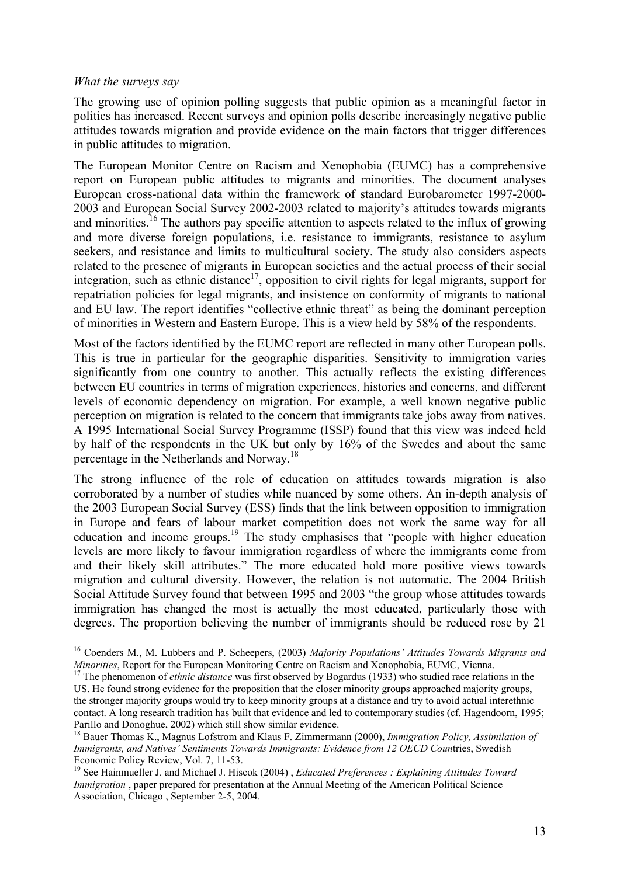#### *What the surveys say*

1

The growing use of opinion polling suggests that public opinion as a meaningful factor in politics has increased. Recent surveys and opinion polls describe increasingly negative public attitudes towards migration and provide evidence on the main factors that trigger differences in public attitudes to migration.

The European Monitor Centre on Racism and Xenophobia (EUMC) has a comprehensive report on European public attitudes to migrants and minorities. The document analyses European cross-national data within the framework of standard Eurobarometer 1997-2000- 2003 and European Social Survey 2002-2003 related to majority's attitudes towards migrants and minorities.<sup>16</sup> The authors pay specific attention to aspects related to the influx of growing and more diverse foreign populations, i.e. resistance to immigrants, resistance to asylum seekers, and resistance and limits to multicultural society. The study also considers aspects related to the presence of migrants in European societies and the actual process of their social integration, such as ethnic distance<sup>17</sup>, opposition to civil rights for legal migrants, support for repatriation policies for legal migrants, and insistence on conformity of migrants to national and EU law. The report identifies "collective ethnic threat" as being the dominant perception of minorities in Western and Eastern Europe. This is a view held by 58% of the respondents.

Most of the factors identified by the EUMC report are reflected in many other European polls. This is true in particular for the geographic disparities. Sensitivity to immigration varies significantly from one country to another. This actually reflects the existing differences between EU countries in terms of migration experiences, histories and concerns, and different levels of economic dependency on migration. For example, a well known negative public perception on migration is related to the concern that immigrants take jobs away from natives. A 1995 International Social Survey Programme (ISSP) found that this view was indeed held by half of the respondents in the UK but only by 16% of the Swedes and about the same percentage in the Netherlands and Norway.18

The strong influence of the role of education on attitudes towards migration is also corroborated by a number of studies while nuanced by some others. An in-depth analysis of the 2003 European Social Survey (ESS) finds that the link between opposition to immigration in Europe and fears of labour market competition does not work the same way for all education and income groups.<sup>19</sup> The study emphasises that "people with higher education levels are more likely to favour immigration regardless of where the immigrants come from and their likely skill attributes." The more educated hold more positive views towards migration and cultural diversity. However, the relation is not automatic. The 2004 British Social Attitude Survey found that between 1995 and 2003 "the group whose attitudes towards immigration has changed the most is actually the most educated, particularly those with degrees. The proportion believing the number of immigrants should be reduced rose by 21

<sup>16</sup> Coenders M., M. Lubbers and P. Scheepers, (2003) *Majority Populations' Attitudes Towards Migrants and Minorities*, Report for the European Monitoring Centre on Racism and Xenophobia, EUMC, Vienna.<br><sup>17</sup> The phenomenon of *ethnic distance* was first observed by Bogardus (1933) who studied race relations in the

US. He found strong evidence for the proposition that the closer minority groups approached majority groups, the stronger majority groups would try to keep minority groups at a distance and try to avoid actual interethnic contact. A long research tradition has built that evidence and led to contemporary studies (cf. Hagendoorn, 1995; Parillo and Donoghue, 2002) which still show similar evidence.

<sup>18</sup> Bauer Thomas K., Magnus Lofstrom and Klaus F. Zimmermann (2000), *Immigration Policy, Assimilation of Immigrants, and Natives' Sentiments Towards Immigrants: Evidence from 12 OECD Coun*tries, Swedish Economic Policy Review, Vol. 7, 11-53.

<sup>19</sup> See Hainmueller J. and Michael J. Hiscok (2004) , *Educated Preferences : Explaining Attitudes Toward Immigration*, paper prepared for presentation at the Annual Meeting of the American Political Science Association, Chicago , September 2-5, 2004.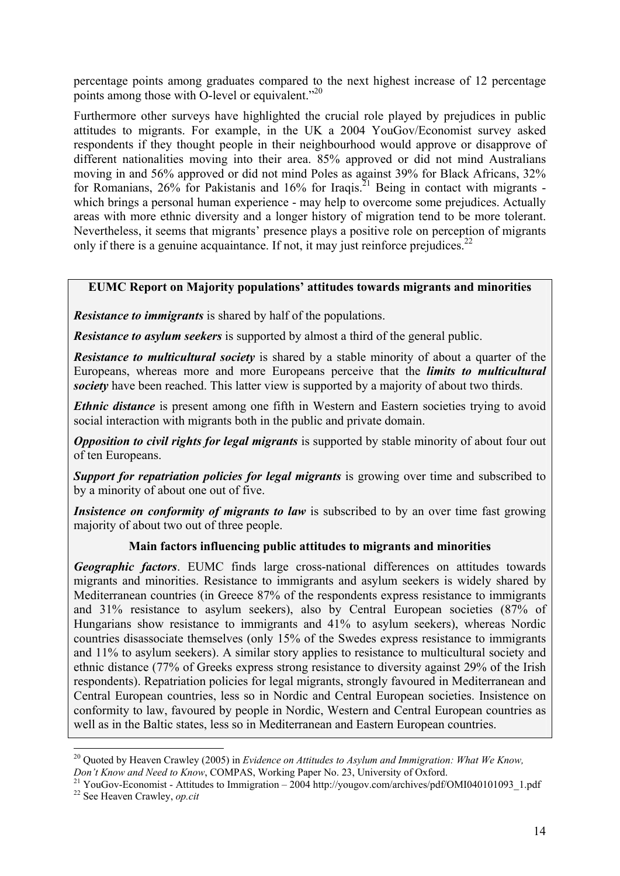percentage points among graduates compared to the next highest increase of 12 percentage points among those with O-level or equivalent."<sup>20</sup>

Furthermore other surveys have highlighted the crucial role played by prejudices in public attitudes to migrants. For example, in the UK a 2004 YouGov/Economist survey asked respondents if they thought people in their neighbourhood would approve or disapprove of different nationalities moving into their area. 85% approved or did not mind Australians moving in and 56% approved or did not mind Poles as against 39% for Black Africans, 32% for Romanians,  $26\%$  for Pakistanis and  $16\%$  for Iraqis.<sup>21</sup> Being in contact with migrants which brings a personal human experience - may help to overcome some prejudices. Actually areas with more ethnic diversity and a longer history of migration tend to be more tolerant. Nevertheless, it seems that migrants' presence plays a positive role on perception of migrants only if there is a genuine acquaintance. If not, it may just reinforce prejudices.<sup>22</sup>

## **EUMC Report on Majority populations' attitudes towards migrants and minorities**

*Resistance to immigrants* is shared by half of the populations.

*Resistance to asylum seekers* is supported by almost a third of the general public.

*Resistance to multicultural society* is shared by a stable minority of about a quarter of the Europeans, whereas more and more Europeans perceive that the *limits to multicultural society* have been reached. This latter view is supported by a majority of about two thirds.

*Ethnic distance* is present among one fifth in Western and Eastern societies trying to avoid social interaction with migrants both in the public and private domain.

*Opposition to civil rights for legal migrants* is supported by stable minority of about four out of ten Europeans.

**Support for repatriation policies for legal migrants** is growing over time and subscribed to by a minority of about one out of five.

*Insistence on conformity of migrants to law* is subscribed to by an over time fast growing majority of about two out of three people.

### **Main factors influencing public attitudes to migrants and minorities**

*Geographic factors*. EUMC finds large cross-national differences on attitudes towards migrants and minorities. Resistance to immigrants and asylum seekers is widely shared by Mediterranean countries (in Greece 87% of the respondents express resistance to immigrants and 31% resistance to asylum seekers), also by Central European societies (87% of Hungarians show resistance to immigrants and 41% to asylum seekers), whereas Nordic countries disassociate themselves (only 15% of the Swedes express resistance to immigrants and 11% to asylum seekers). A similar story applies to resistance to multicultural society and ethnic distance (77% of Greeks express strong resistance to diversity against 29% of the Irish respondents). Repatriation policies for legal migrants, strongly favoured in Mediterranean and Central European countries, less so in Nordic and Central European societies. Insistence on conformity to law, favoured by people in Nordic, Western and Central European countries as well as in the Baltic states, less so in Mediterranean and Eastern European countries.

<sup>&</sup>lt;sup>20</sup> Quoted by Heaven Crawley (2005) in *Evidence on Attitudes to Asylum and Immigration: What We Know, Don't Know and Need to Know*, COMPAS, Working Paper No. 23, University of Oxford.<br><sup>21</sup> YouGov-Economist - Attitudes to Immigration – 2004 http://yougov.com/archives/pdf/OMI040101093\_1.pdf

<sup>22</sup> See Heaven Crawley, *op.cit*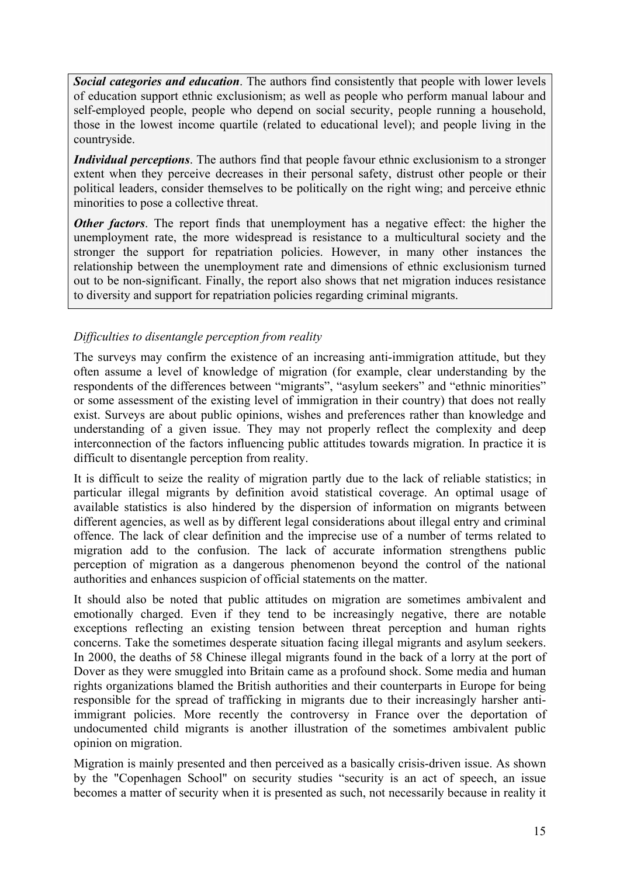*Social categories and education*. The authors find consistently that people with lower levels of education support ethnic exclusionism; as well as people who perform manual labour and self-employed people, people who depend on social security, people running a household, those in the lowest income quartile (related to educational level); and people living in the countryside.

*Individual perceptions*. The authors find that people favour ethnic exclusionism to a stronger extent when they perceive decreases in their personal safety, distrust other people or their political leaders, consider themselves to be politically on the right wing; and perceive ethnic minorities to pose a collective threat.

*Other factors*. The report finds that unemployment has a negative effect: the higher the unemployment rate, the more widespread is resistance to a multicultural society and the stronger the support for repatriation policies. However, in many other instances the relationship between the unemployment rate and dimensions of ethnic exclusionism turned out to be non-significant. Finally, the report also shows that net migration induces resistance to diversity and support for repatriation policies regarding criminal migrants.

## *Difficulties to disentangle perception from reality*

The surveys may confirm the existence of an increasing anti-immigration attitude, but they often assume a level of knowledge of migration (for example, clear understanding by the respondents of the differences between "migrants", "asylum seekers" and "ethnic minorities" or some assessment of the existing level of immigration in their country) that does not really exist. Surveys are about public opinions, wishes and preferences rather than knowledge and understanding of a given issue. They may not properly reflect the complexity and deep interconnection of the factors influencing public attitudes towards migration. In practice it is difficult to disentangle perception from reality.

It is difficult to seize the reality of migration partly due to the lack of reliable statistics; in particular illegal migrants by definition avoid statistical coverage. An optimal usage of available statistics is also hindered by the dispersion of information on migrants between different agencies, as well as by different legal considerations about illegal entry and criminal offence. The lack of clear definition and the imprecise use of a number of terms related to migration add to the confusion. The lack of accurate information strengthens public perception of migration as a dangerous phenomenon beyond the control of the national authorities and enhances suspicion of official statements on the matter.

It should also be noted that public attitudes on migration are sometimes ambivalent and emotionally charged. Even if they tend to be increasingly negative, there are notable exceptions reflecting an existing tension between threat perception and human rights concerns. Take the sometimes desperate situation facing illegal migrants and asylum seekers. In 2000, the deaths of 58 Chinese illegal migrants found in the back of a lorry at the port of Dover as they were smuggled into Britain came as a profound shock. Some media and human rights organizations blamed the British authorities and their counterparts in Europe for being responsible for the spread of trafficking in migrants due to their increasingly harsher antiimmigrant policies. More recently the controversy in France over the deportation of undocumented child migrants is another illustration of the sometimes ambivalent public opinion on migration.

Migration is mainly presented and then perceived as a basically crisis-driven issue. As shown by the "Copenhagen School" on security studies "security is an act of speech, an issue becomes a matter of security when it is presented as such, not necessarily because in reality it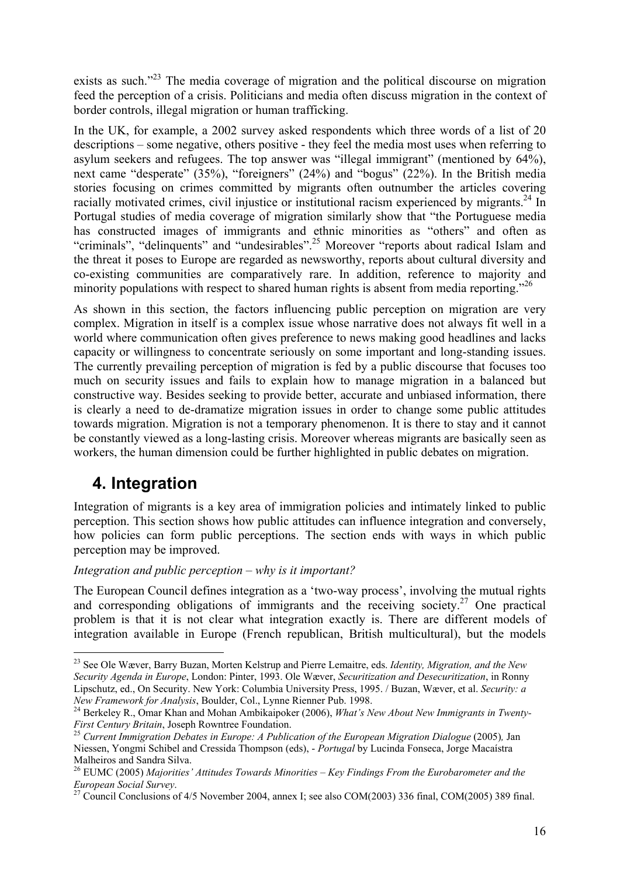exists as such.<sup>223</sup> The media coverage of migration and the political discourse on migration feed the perception of a crisis. Politicians and media often discuss migration in the context of border controls, illegal migration or human trafficking.

In the UK, for example, a 2002 survey asked respondents which three words of a list of 20 descriptions – some negative, others positive - they feel the media most uses when referring to asylum seekers and refugees. The top answer was "illegal immigrant" (mentioned by 64%), next came "desperate" (35%), "foreigners" (24%) and "bogus" (22%). In the British media stories focusing on crimes committed by migrants often outnumber the articles covering racially motivated crimes, civil injustice or institutional racism experienced by migrants.<sup>24</sup> In Portugal studies of media coverage of migration similarly show that "the Portuguese media has constructed images of immigrants and ethnic minorities as "others" and often as "criminals", "delinquents" and "undesirables".25 Moreover "reports about radical Islam and the threat it poses to Europe are regarded as newsworthy, reports about cultural diversity and co-existing communities are comparatively rare. In addition, reference to majority and minority populations with respect to shared human rights is absent from media reporting.<sup>226</sup>

As shown in this section, the factors influencing public perception on migration are very complex. Migration in itself is a complex issue whose narrative does not always fit well in a world where communication often gives preference to news making good headlines and lacks capacity or willingness to concentrate seriously on some important and long-standing issues. The currently prevailing perception of migration is fed by a public discourse that focuses too much on security issues and fails to explain how to manage migration in a balanced but constructive way. Besides seeking to provide better, accurate and unbiased information, there is clearly a need to de-dramatize migration issues in order to change some public attitudes towards migration. Migration is not a temporary phenomenon. It is there to stay and it cannot be constantly viewed as a long-lasting crisis. Moreover whereas migrants are basically seen as workers, the human dimension could be further highlighted in public debates on migration.

# **4. Integration**

1

Integration of migrants is a key area of immigration policies and intimately linked to public perception. This section shows how public attitudes can influence integration and conversely, how policies can form public perceptions. The section ends with ways in which public perception may be improved.

*Integration and public perception – why is it important?* 

The European Council defines integration as a 'two-way process', involving the mutual rights and corresponding obligations of immigrants and the receiving society.<sup>27</sup> One practical problem is that it is not clear what integration exactly is. There are different models of integration available in Europe (French republican, British multicultural), but the models

<sup>23</sup> See Ole Wæver, Barry Buzan, Morten Kelstrup and Pierre Lemaitre, eds. *Identity, Migration, and the New Security Agenda in Europe*, London: Pinter, 1993. Ole Wæver, *Securitization and Desecuritization*, in Ronny Lipschutz, ed., On Security. New York: Columbia University Press, 1995. / Buzan, Wæver, et al. *Security: a* 

<sup>&</sup>lt;sup>24</sup> Berkeley R., Omar Khan and Mohan Ambikaipoker (2006), *What's New About New Immigrants in Twenty-First Century Britain, Joseph Rowntree Foundation.*<br><sup>25</sup> *Current Immigration Debates in Europe: A Publication of the European Migration Dialogue (2005), Jan* 

Niessen, Yongmi Schibel and Cressida Thompson (eds), - *Portugal* by Lucinda Fonseca, Jorge Macaístra Malheiros and Sandra Silva.

<sup>26</sup> EUMC (2005) *Majorities' Attitudes Towards Minorities – Key Findings From the Eurobarometer and the* 

<sup>&</sup>lt;sup>27</sup> Council Conclusions of 4/5 November 2004, annex I; see also COM(2003) 336 final, COM(2005) 389 final.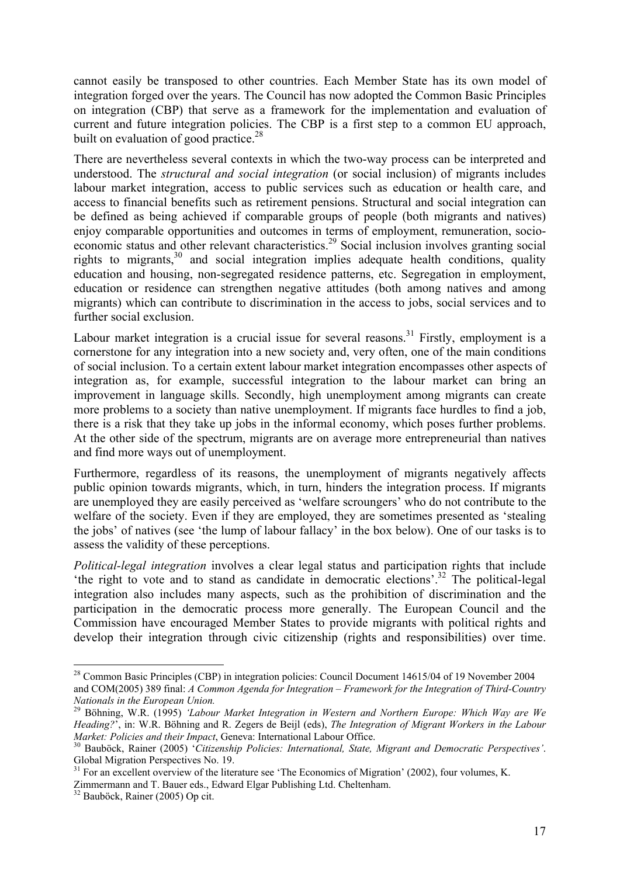cannot easily be transposed to other countries. Each Member State has its own model of integration forged over the years. The Council has now adopted the Common Basic Principles on integration (CBP) that serve as a framework for the implementation and evaluation of current and future integration policies. The CBP is a first step to a common EU approach, built on evaluation of good practice.<sup>28</sup>

There are nevertheless several contexts in which the two-way process can be interpreted and understood. The *structural and social integration* (or social inclusion) of migrants includes labour market integration, access to public services such as education or health care, and access to financial benefits such as retirement pensions. Structural and social integration can be defined as being achieved if comparable groups of people (both migrants and natives) enjoy comparable opportunities and outcomes in terms of employment, remuneration, socioeconomic status and other relevant characteristics.<sup>29</sup> Social inclusion involves granting social rights to migrants,  $30$  and social integration implies adequate health conditions, quality education and housing, non-segregated residence patterns, etc. Segregation in employment, education or residence can strengthen negative attitudes (both among natives and among migrants) which can contribute to discrimination in the access to jobs, social services and to further social exclusion.

Labour market integration is a crucial issue for several reasons.<sup>31</sup> Firstly, employment is a cornerstone for any integration into a new society and, very often, one of the main conditions of social inclusion. To a certain extent labour market integration encompasses other aspects of integration as, for example, successful integration to the labour market can bring an improvement in language skills. Secondly, high unemployment among migrants can create more problems to a society than native unemployment. If migrants face hurdles to find a job, there is a risk that they take up jobs in the informal economy, which poses further problems. At the other side of the spectrum, migrants are on average more entrepreneurial than natives and find more ways out of unemployment.

Furthermore, regardless of its reasons, the unemployment of migrants negatively affects public opinion towards migrants, which, in turn, hinders the integration process. If migrants are unemployed they are easily perceived as 'welfare scroungers' who do not contribute to the welfare of the society. Even if they are employed, they are sometimes presented as 'stealing the jobs' of natives (see 'the lump of labour fallacy' in the box below). One of our tasks is to assess the validity of these perceptions.

*Political-legal integration* involves a clear legal status and participation rights that include 'the right to vote and to stand as candidate in democratic elections'.32 The political-legal integration also includes many aspects, such as the prohibition of discrimination and the participation in the democratic process more generally. The European Council and the Commission have encouraged Member States to provide migrants with political rights and develop their integration through civic citizenship (rights and responsibilities) over time.

Zimmermann and T. Bauer eds., Edward Elgar Publishing Ltd. Cheltenham.

<sup>&</sup>lt;sup>28</sup> Common Basic Principles (CBP) in integration policies: Council Document 14615/04 of 19 November 2004 and COM(2005) 389 final: *A Common Agenda for Integration – Framework for the Integration of Third-Country Nationals in the European Union.*

<sup>29</sup> Böhning, W.R. (1995) *'Labour Market Integration in Western and Northern Europe: Which Way are We Heading?*', in: W.R. Böhning and R. Zegers de Beijl (eds), *The Integration of Migrant Workers in the Labour Market: Policies and their Impact*, Geneva: International Labour Office. 30 Bauböck, Rainer (2005) '*Citizenship Policies: International, State, Migrant and Democratic Perspectives'*.

Global Migration Perspectives No. 19.

 $31$  For an excellent overview of the literature see 'The Economics of Migration' (2002), four volumes, K.

<sup>32</sup> Bauböck, Rainer (2005) Op cit.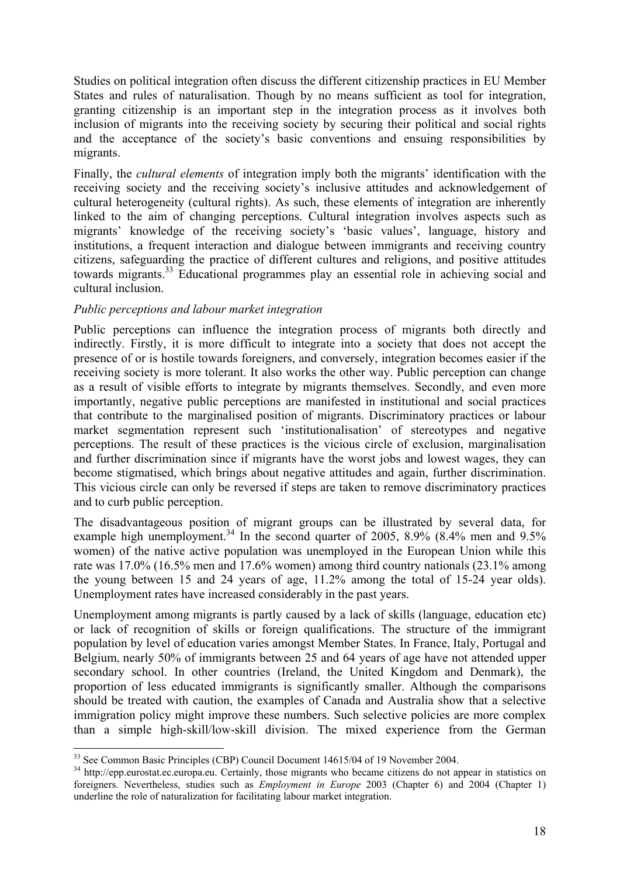Studies on political integration often discuss the different citizenship practices in EU Member States and rules of naturalisation. Though by no means sufficient as tool for integration, granting citizenship is an important step in the integration process as it involves both inclusion of migrants into the receiving society by securing their political and social rights and the acceptance of the society's basic conventions and ensuing responsibilities by migrants.

Finally, the *cultural elements* of integration imply both the migrants' identification with the receiving society and the receiving society's inclusive attitudes and acknowledgement of cultural heterogeneity (cultural rights). As such, these elements of integration are inherently linked to the aim of changing perceptions. Cultural integration involves aspects such as migrants' knowledge of the receiving society's 'basic values', language, history and institutions, a frequent interaction and dialogue between immigrants and receiving country citizens, safeguarding the practice of different cultures and religions, and positive attitudes towards migrants.33 Educational programmes play an essential role in achieving social and cultural inclusion.

### *Public perceptions and labour market integration*

Public perceptions can influence the integration process of migrants both directly and indirectly. Firstly, it is more difficult to integrate into a society that does not accept the presence of or is hostile towards foreigners, and conversely, integration becomes easier if the receiving society is more tolerant. It also works the other way. Public perception can change as a result of visible efforts to integrate by migrants themselves. Secondly, and even more importantly, negative public perceptions are manifested in institutional and social practices that contribute to the marginalised position of migrants. Discriminatory practices or labour market segmentation represent such 'institutionalisation' of stereotypes and negative perceptions. The result of these practices is the vicious circle of exclusion, marginalisation and further discrimination since if migrants have the worst jobs and lowest wages, they can become stigmatised, which brings about negative attitudes and again, further discrimination. This vicious circle can only be reversed if steps are taken to remove discriminatory practices and to curb public perception.

The disadvantageous position of migrant groups can be illustrated by several data, for example high unemployment.<sup>34</sup> In the second quarter of 2005, 8.9% (8.4% men and  $9.5\%$ ) women) of the native active population was unemployed in the European Union while this rate was 17.0% (16.5% men and 17.6% women) among third country nationals (23.1% among the young between 15 and 24 years of age, 11.2% among the total of 15-24 year olds). Unemployment rates have increased considerably in the past years.

Unemployment among migrants is partly caused by a lack of skills (language, education etc) or lack of recognition of skills or foreign qualifications. The structure of the immigrant population by level of education varies amongst Member States. In France, Italy, Portugal and Belgium, nearly 50% of immigrants between 25 and 64 years of age have not attended upper secondary school. In other countries (Ireland, the United Kingdom and Denmark), the proportion of less educated immigrants is significantly smaller. Although the comparisons should be treated with caution, the examples of Canada and Australia show that a selective immigration policy might improve these numbers. Such selective policies are more complex than a simple high-skill/low-skill division. The mixed experience from the German

<sup>1</sup> <sup>33</sup> See Common Basic Principles (CBP) Council Document 14615/04 of 19 November 2004.

<sup>&</sup>lt;sup>34</sup> http://epp.eurostat.ec.europa.eu. Certainly, those migrants who became citizens do not appear in statistics on foreigners. Nevertheless, studies such as *Employment in Europe* 2003 (Chapter 6) and 2004 (Chapter 1) underline the role of naturalization for facilitating labour market integration.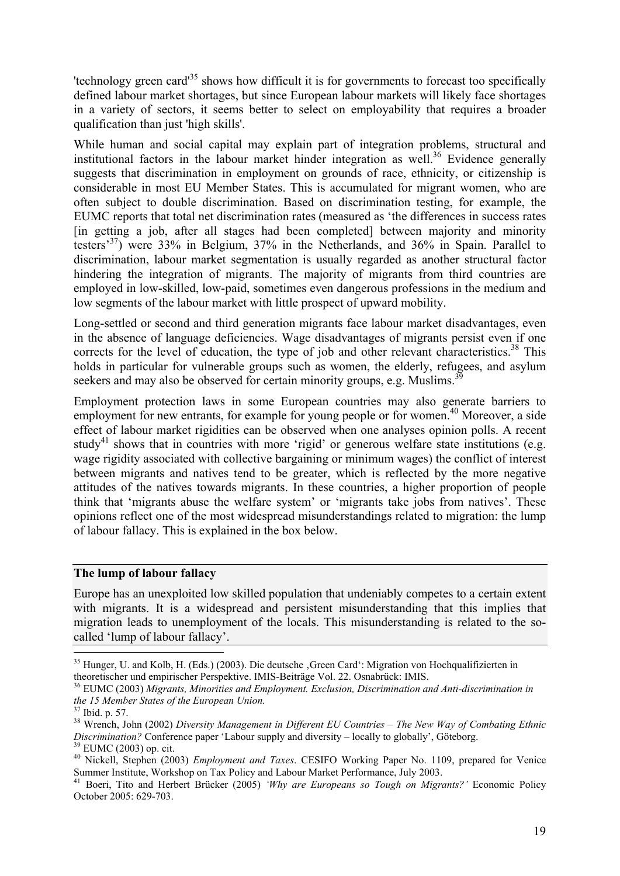'technology green card'35 shows how difficult it is for governments to forecast too specifically defined labour market shortages, but since European labour markets will likely face shortages in a variety of sectors, it seems better to select on employability that requires a broader qualification than just 'high skills'.

While human and social capital may explain part of integration problems, structural and institutional factors in the labour market hinder integration as well.<sup>36</sup> Evidence generally suggests that discrimination in employment on grounds of race, ethnicity, or citizenship is considerable in most EU Member States. This is accumulated for migrant women, who are often subject to double discrimination. Based on discrimination testing, for example, the EUMC reports that total net discrimination rates (measured as 'the differences in success rates [in getting a job, after all stages had been completed] between majority and minority testers'37) were 33% in Belgium, 37% in the Netherlands, and 36% in Spain. Parallel to discrimination, labour market segmentation is usually regarded as another structural factor hindering the integration of migrants. The majority of migrants from third countries are employed in low-skilled, low-paid, sometimes even dangerous professions in the medium and low segments of the labour market with little prospect of upward mobility.

Long-settled or second and third generation migrants face labour market disadvantages, even in the absence of language deficiencies. Wage disadvantages of migrants persist even if one corrects for the level of education, the type of job and other relevant characteristics.<sup>38</sup> This holds in particular for vulnerable groups such as women, the elderly, refugees, and asylum seekers and may also be observed for certain minority groups, e.g. Muslims.<sup>39</sup>

Employment protection laws in some European countries may also generate barriers to employment for new entrants, for example for young people or for women.<sup>40</sup> Moreover, a side effect of labour market rigidities can be observed when one analyses opinion polls. A recent study<sup>41</sup> shows that in countries with more 'rigid' or generous welfare state institutions (e.g. wage rigidity associated with collective bargaining or minimum wages) the conflict of interest between migrants and natives tend to be greater, which is reflected by the more negative attitudes of the natives towards migrants. In these countries, a higher proportion of people think that 'migrants abuse the welfare system' or 'migrants take jobs from natives'. These opinions reflect one of the most widespread misunderstandings related to migration: the lump of labour fallacy. This is explained in the box below.

#### **The lump of labour fallacy**

Europe has an unexploited low skilled population that undeniably competes to a certain extent with migrants. It is a widespread and persistent misunderstanding that this implies that migration leads to unemployment of the locals. This misunderstanding is related to the socalled 'lump of labour fallacy'.

<sup>&</sup>lt;sup>35</sup> Hunger, U. and Kolb, H. (Eds.) (2003). Die deutsche , Green Card<sup>e</sup>: Migration von Hochqualifizierten in theoretischer und empirischer Perspektive. IMIS-Beiträge Vol. 22. Osnabrück: IMIS.

<sup>36</sup> EUMC (2003) *Migrants, Minorities and Employment. Exclusion, Discrimination and Anti-discrimination in the 15 Member States of the European Union.*

<sup>37</sup> Ibid. p. 57.

<sup>38</sup> Wrench, John (2002) *Diversity Management in Different EU Countries – The New Way of Combating Ethnic Discrimination?* Conference paper 'Labour supply and diversity – locally to globally', Göteborg. <sup>39</sup> EUMC (2003) op. cit.

<sup>40</sup> Nickell, Stephen (2003) *Employment and Taxes*. CESIFO Working Paper No. 1109, prepared for Venice Summer Institute, Workshop on Tax Policy and Labour Market Performance, July 2003.<br><sup>41</sup> Boeri, Tito and Herbert Brücker (2005) *'Why are Europeans so Tough on Migrants?'* Economic Policy

October 2005: 629-703.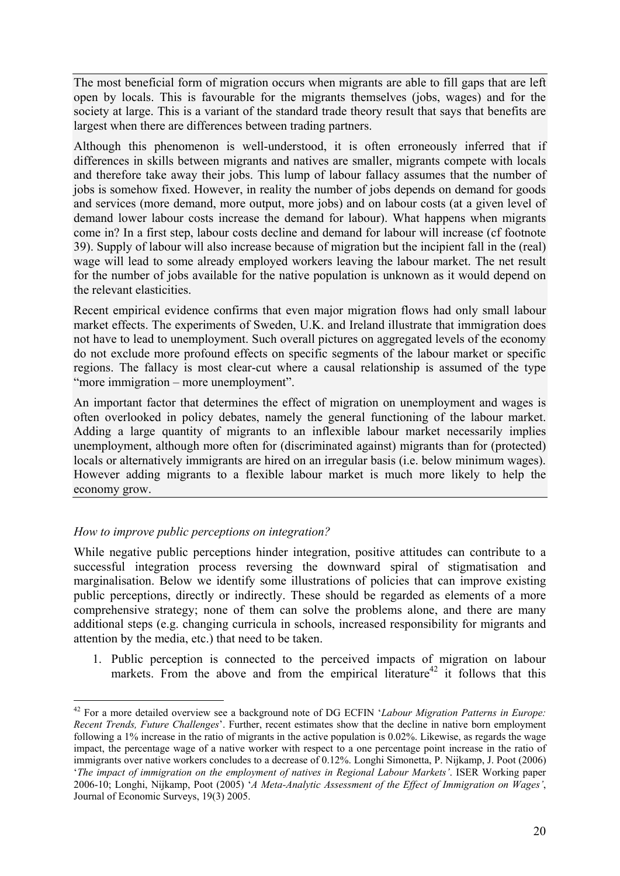The most beneficial form of migration occurs when migrants are able to fill gaps that are left open by locals. This is favourable for the migrants themselves (jobs, wages) and for the society at large. This is a variant of the standard trade theory result that says that benefits are largest when there are differences between trading partners.

Although this phenomenon is well-understood, it is often erroneously inferred that if differences in skills between migrants and natives are smaller, migrants compete with locals and therefore take away their jobs. This lump of labour fallacy assumes that the number of jobs is somehow fixed. However, in reality the number of jobs depends on demand for goods and services (more demand, more output, more jobs) and on labour costs (at a given level of demand lower labour costs increase the demand for labour). What happens when migrants come in? In a first step, labour costs decline and demand for labour will increase (cf footnote 39). Supply of labour will also increase because of migration but the incipient fall in the (real) wage will lead to some already employed workers leaving the labour market. The net result for the number of jobs available for the native population is unknown as it would depend on the relevant elasticities.

Recent empirical evidence confirms that even major migration flows had only small labour market effects. The experiments of Sweden, U.K. and Ireland illustrate that immigration does not have to lead to unemployment. Such overall pictures on aggregated levels of the economy do not exclude more profound effects on specific segments of the labour market or specific regions. The fallacy is most clear-cut where a causal relationship is assumed of the type "more immigration – more unemployment".

An important factor that determines the effect of migration on unemployment and wages is often overlooked in policy debates, namely the general functioning of the labour market. Adding a large quantity of migrants to an inflexible labour market necessarily implies unemployment, although more often for (discriminated against) migrants than for (protected) locals or alternatively immigrants are hired on an irregular basis (i.e. below minimum wages). However adding migrants to a flexible labour market is much more likely to help the economy grow.

### *How to improve public perceptions on integration?*

1

While negative public perceptions hinder integration, positive attitudes can contribute to a successful integration process reversing the downward spiral of stigmatisation and marginalisation. Below we identify some illustrations of policies that can improve existing public perceptions, directly or indirectly. These should be regarded as elements of a more comprehensive strategy; none of them can solve the problems alone, and there are many additional steps (e.g. changing curricula in schools, increased responsibility for migrants and attention by the media, etc.) that need to be taken.

1. Public perception is connected to the perceived impacts of migration on labour markets. From the above and from the empirical literature<sup>42</sup> it follows that this

<sup>42</sup> For a more detailed overview see a background note of DG ECFIN '*Labour Migration Patterns in Europe: Recent Trends, Future Challenges*'. Further, recent estimates show that the decline in native born employment following a 1% increase in the ratio of migrants in the active population is 0.02%. Likewise, as regards the wage impact, the percentage wage of a native worker with respect to a one percentage point increase in the ratio of immigrants over native workers concludes to a decrease of 0.12%. Longhi Simonetta, P. Nijkamp, J. Poot (2006) '*The impact of immigration on the employment of natives in Regional Labour Markets'*. ISER Working paper 2006-10; Longhi, Nijkamp, Poot (2005) '*A Meta-Analytic Assessment of the Effect of Immigration on Wages'*, Journal of Economic Surveys, 19(3) 2005.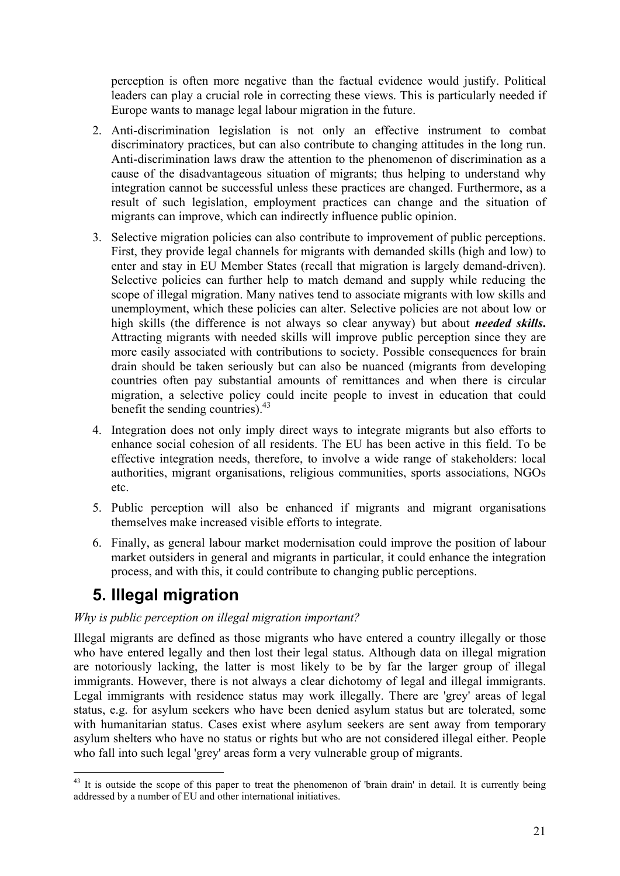perception is often more negative than the factual evidence would justify. Political leaders can play a crucial role in correcting these views. This is particularly needed if Europe wants to manage legal labour migration in the future.

- 2. Anti-discrimination legislation is not only an effective instrument to combat discriminatory practices, but can also contribute to changing attitudes in the long run. Anti-discrimination laws draw the attention to the phenomenon of discrimination as a cause of the disadvantageous situation of migrants; thus helping to understand why integration cannot be successful unless these practices are changed. Furthermore, as a result of such legislation, employment practices can change and the situation of migrants can improve, which can indirectly influence public opinion.
- 3. Selective migration policies can also contribute to improvement of public perceptions. First, they provide legal channels for migrants with demanded skills (high and low) to enter and stay in EU Member States (recall that migration is largely demand-driven). Selective policies can further help to match demand and supply while reducing the scope of illegal migration. Many natives tend to associate migrants with low skills and unemployment, which these policies can alter. Selective policies are not about low or high skills (the difference is not always so clear anyway) but about *needed skills***.**  Attracting migrants with needed skills will improve public perception since they are more easily associated with contributions to society. Possible consequences for brain drain should be taken seriously but can also be nuanced (migrants from developing countries often pay substantial amounts of remittances and when there is circular migration, a selective policy could incite people to invest in education that could benefit the sending countries).<sup>43</sup>
- 4. Integration does not only imply direct ways to integrate migrants but also efforts to enhance social cohesion of all residents. The EU has been active in this field. To be effective integration needs, therefore, to involve a wide range of stakeholders: local authorities, migrant organisations, religious communities, sports associations, NGOs etc.
- 5. Public perception will also be enhanced if migrants and migrant organisations themselves make increased visible efforts to integrate.
- 6. Finally, as general labour market modernisation could improve the position of labour market outsiders in general and migrants in particular, it could enhance the integration process, and with this, it could contribute to changing public perceptions.

# **5. Illegal migration**

## *Why is public perception on illegal migration important?*

Illegal migrants are defined as those migrants who have entered a country illegally or those who have entered legally and then lost their legal status. Although data on illegal migration are notoriously lacking, the latter is most likely to be by far the larger group of illegal immigrants. However, there is not always a clear dichotomy of legal and illegal immigrants. Legal immigrants with residence status may work illegally. There are 'grey' areas of legal status, e.g. for asylum seekers who have been denied asylum status but are tolerated, some with humanitarian status. Cases exist where asylum seekers are sent away from temporary asylum shelters who have no status or rights but who are not considered illegal either. People who fall into such legal 'grey' areas form a very vulnerable group of migrants.

<sup>1</sup>  $43$  It is outside the scope of this paper to treat the phenomenon of 'brain drain' in detail. It is currently being addressed by a number of EU and other international initiatives.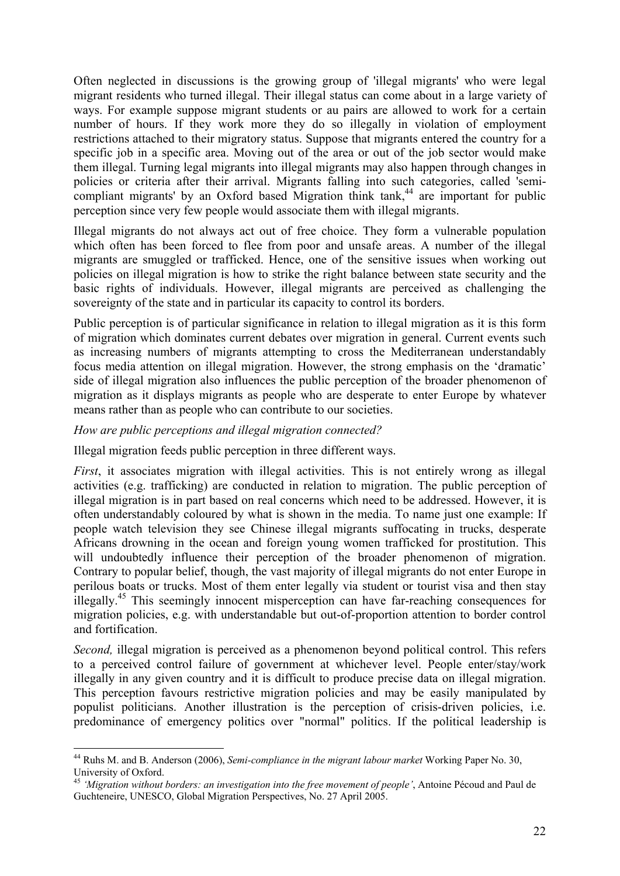Often neglected in discussions is the growing group of 'illegal migrants' who were legal migrant residents who turned illegal. Their illegal status can come about in a large variety of ways. For example suppose migrant students or au pairs are allowed to work for a certain number of hours. If they work more they do so illegally in violation of employment restrictions attached to their migratory status. Suppose that migrants entered the country for a specific job in a specific area. Moving out of the area or out of the job sector would make them illegal. Turning legal migrants into illegal migrants may also happen through changes in policies or criteria after their arrival. Migrants falling into such categories, called 'semicompliant migrants' by an Oxford based Migration think tank,<sup>44</sup> are important for public perception since very few people would associate them with illegal migrants.

Illegal migrants do not always act out of free choice. They form a vulnerable population which often has been forced to flee from poor and unsafe areas. A number of the illegal migrants are smuggled or trafficked. Hence, one of the sensitive issues when working out policies on illegal migration is how to strike the right balance between state security and the basic rights of individuals. However, illegal migrants are perceived as challenging the sovereignty of the state and in particular its capacity to control its borders.

Public perception is of particular significance in relation to illegal migration as it is this form of migration which dominates current debates over migration in general. Current events such as increasing numbers of migrants attempting to cross the Mediterranean understandably focus media attention on illegal migration. However, the strong emphasis on the 'dramatic' side of illegal migration also influences the public perception of the broader phenomenon of migration as it displays migrants as people who are desperate to enter Europe by whatever means rather than as people who can contribute to our societies.

#### *How are public perceptions and illegal migration connected?*

1

Illegal migration feeds public perception in three different ways.

*First*, it associates migration with illegal activities. This is not entirely wrong as illegal activities (e.g. trafficking) are conducted in relation to migration. The public perception of illegal migration is in part based on real concerns which need to be addressed. However, it is often understandably coloured by what is shown in the media. To name just one example: If people watch television they see Chinese illegal migrants suffocating in trucks, desperate Africans drowning in the ocean and foreign young women trafficked for prostitution. This will undoubtedly influence their perception of the broader phenomenon of migration. Contrary to popular belief, though, the vast majority of illegal migrants do not enter Europe in perilous boats or trucks. Most of them enter legally via student or tourist visa and then stay illegally.45 This seemingly innocent misperception can have far-reaching consequences for migration policies, e.g. with understandable but out-of-proportion attention to border control and fortification.

*Second*, illegal migration is perceived as a phenomenon beyond political control. This refers to a perceived control failure of government at whichever level. People enter/stay/work illegally in any given country and it is difficult to produce precise data on illegal migration. This perception favours restrictive migration policies and may be easily manipulated by populist politicians. Another illustration is the perception of crisis-driven policies, i.e. predominance of emergency politics over "normal" politics. If the political leadership is

<sup>44</sup> Ruhs M. and B. Anderson (2006), *Semi-compliance in the migrant labour market* Working Paper No. 30, University of Oxford.

<sup>45</sup> *'Migration without borders: an investigation into the free movement of people'*, Antoine Pécoud and Paul de Guchteneire, UNESCO, Global Migration Perspectives, No. 27 April 2005.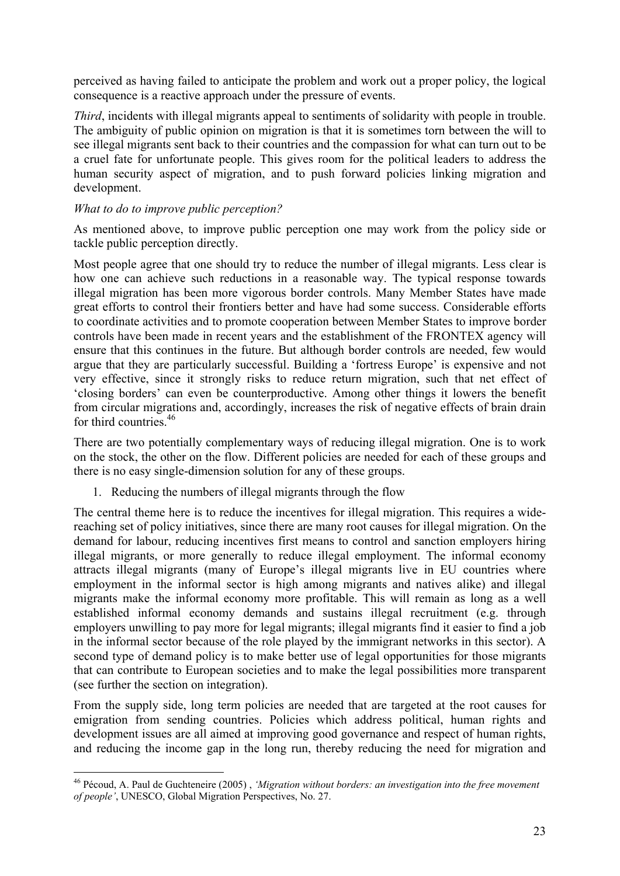perceived as having failed to anticipate the problem and work out a proper policy, the logical consequence is a reactive approach under the pressure of events.

*Third*, incidents with illegal migrants appeal to sentiments of solidarity with people in trouble. The ambiguity of public opinion on migration is that it is sometimes torn between the will to see illegal migrants sent back to their countries and the compassion for what can turn out to be a cruel fate for unfortunate people. This gives room for the political leaders to address the human security aspect of migration, and to push forward policies linking migration and development.

### *What to do to improve public perception?*

1

As mentioned above, to improve public perception one may work from the policy side or tackle public perception directly.

Most people agree that one should try to reduce the number of illegal migrants. Less clear is how one can achieve such reductions in a reasonable way. The typical response towards illegal migration has been more vigorous border controls. Many Member States have made great efforts to control their frontiers better and have had some success. Considerable efforts to coordinate activities and to promote cooperation between Member States to improve border controls have been made in recent years and the establishment of the FRONTEX agency will ensure that this continues in the future. But although border controls are needed, few would argue that they are particularly successful. Building a 'fortress Europe' is expensive and not very effective, since it strongly risks to reduce return migration, such that net effect of 'closing borders' can even be counterproductive. Among other things it lowers the benefit from circular migrations and, accordingly, increases the risk of negative effects of brain drain for third countries.<sup>46</sup>

There are two potentially complementary ways of reducing illegal migration. One is to work on the stock, the other on the flow. Different policies are needed for each of these groups and there is no easy single-dimension solution for any of these groups.

1. Reducing the numbers of illegal migrants through the flow

The central theme here is to reduce the incentives for illegal migration. This requires a widereaching set of policy initiatives, since there are many root causes for illegal migration. On the demand for labour, reducing incentives first means to control and sanction employers hiring illegal migrants, or more generally to reduce illegal employment. The informal economy attracts illegal migrants (many of Europe's illegal migrants live in EU countries where employment in the informal sector is high among migrants and natives alike) and illegal migrants make the informal economy more profitable. This will remain as long as a well established informal economy demands and sustains illegal recruitment (e.g. through employers unwilling to pay more for legal migrants; illegal migrants find it easier to find a job in the informal sector because of the role played by the immigrant networks in this sector). A second type of demand policy is to make better use of legal opportunities for those migrants that can contribute to European societies and to make the legal possibilities more transparent (see further the section on integration).

From the supply side, long term policies are needed that are targeted at the root causes for emigration from sending countries. Policies which address political, human rights and development issues are all aimed at improving good governance and respect of human rights, and reducing the income gap in the long run, thereby reducing the need for migration and

<sup>46</sup> Pécoud, A. Paul de Guchteneire (2005) , *'Migration without borders: an investigation into the free movement of people'*, UNESCO, Global Migration Perspectives, No. 27.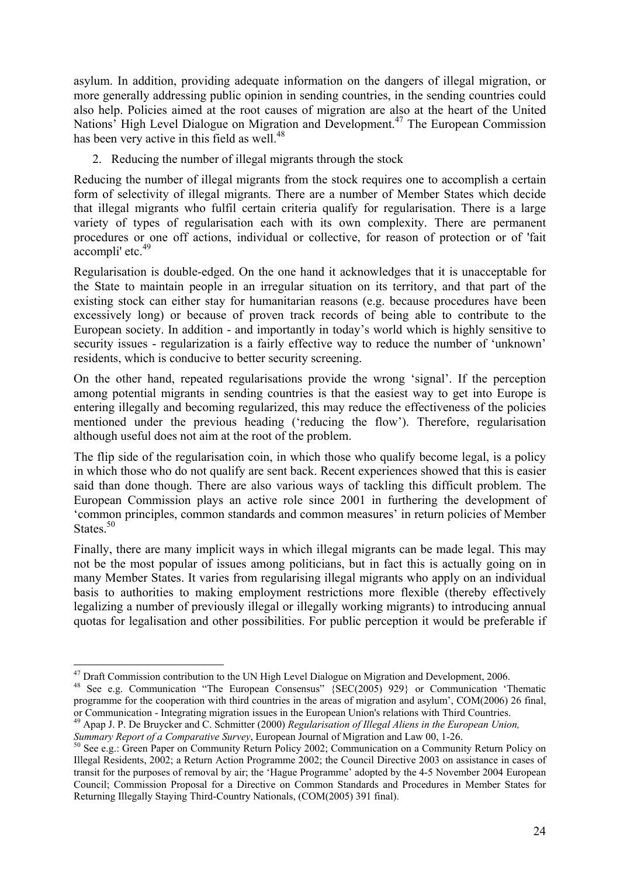asylum. In addition, providing adequate information on the dangers of illegal migration, or more generally addressing public opinion in sending countries, in the sending countries could also help. Policies aimed at the root causes of migration are also at the heart of the United Nations<sup>7</sup> High Level Dialogue on Migration and Development.<sup>47</sup> The European Commission has been very active in this field as well.<sup>48</sup>

2. Reducing the number of illegal migrants through the stock

Reducing the number of illegal migrants from the stock requires one to accomplish a certain form of selectivity of illegal migrants. There are a number of Member States which decide that illegal migrants who fulfil certain criteria qualify for regularisation. There is a large variety of types of regularisation each with its own complexity. There are permanent procedures or one off actions, individual or collective, for reason of protection or of 'fait  $\frac{1}{2}$  accompli' etc.<sup>49</sup>

Regularisation is double-edged. On the one hand it acknowledges that it is unacceptable for the State to maintain people in an irregular situation on its territory, and that part of the existing stock can either stay for humanitarian reasons (e.g. because procedures have been excessively long) or because of proven track records of being able to contribute to the European society. In addition - and importantly in today's world which is highly sensitive to security issues - regularization is a fairly effective way to reduce the number of 'unknown' residents, which is conducive to better security screening.

On the other hand, repeated regularisations provide the wrong 'signal'. If the perception among potential migrants in sending countries is that the easiest way to get into Europe is entering illegally and becoming regularized, this may reduce the effectiveness of the policies mentioned under the previous heading ('reducing the flow'). Therefore, regularisation although useful does not aim at the root of the problem.

The flip side of the regularisation coin, in which those who qualify become legal, is a policy in which those who do not qualify are sent back. Recent experiences showed that this is easier said than done though. There are also various ways of tackling this difficult problem. The European Commission plays an active role since 2001 in furthering the development of 'common principles, common standards and common measures' in return policies of Member States.<sup>50</sup>

Finally, there are many implicit ways in which illegal migrants can be made legal. This may not be the most popular of issues among politicians, but in fact this is actually going on in many Member States. It varies from regularising illegal migrants who apply on an individual basis to authorities to making employment restrictions more flexible (thereby effectively legalizing a number of previously illegal or illegally working migrants) to introducing annual quotas for legalisation and other possibilities. For public perception it would be preferable if

<sup>&</sup>lt;sup>47</sup> Draft Commission contribution to the UN High Level Dialogue on Migration and Development, 2006.

<sup>&</sup>lt;sup>48</sup> See e.g. Communication "The European Consensus" {SEC(2005) 929} or Communication 'Thematic programme for the cooperation with third countries in the areas of migration and asylum', COM(2006) 26 final, or Communication - Integrating migration issues in the European Union's relations with Third Countries.

<sup>&</sup>lt;sup>49</sup> Apap J. P. De Bruycker and C. Schmitter (2000) *Regularisation of Illegal Aliens in the European Union,* Summary *Report of a Comparative Survey*, European Journal of Migration and Law 00, 1-26.

<sup>&</sup>lt;sup>50</sup> See e.g.: Green Paper on Community Return Policy 2002; Communication on a Community Return Policy on Illegal Residents, 2002; a Return Action Programme 2002; the Council Directive 2003 on assistance in cases of transit for the purposes of removal by air; the 'Hague Programme' adopted by the 4-5 November 2004 European Council; Commission Proposal for a Directive on Common Standards and Procedures in Member States for Returning Illegally Staying Third-Country Nationals, (COM(2005) 391 final).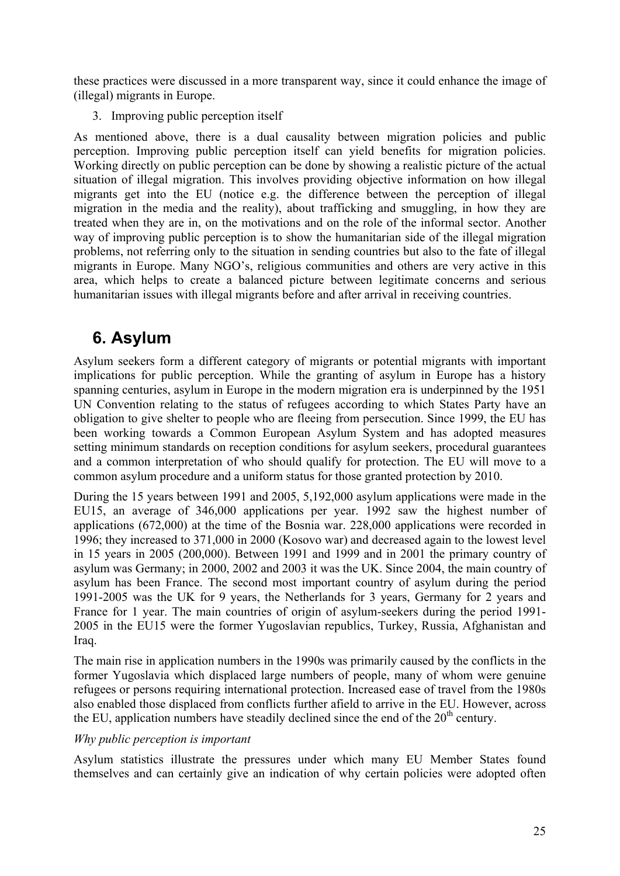these practices were discussed in a more transparent way, since it could enhance the image of (illegal) migrants in Europe.

3. Improving public perception itself

As mentioned above, there is a dual causality between migration policies and public perception. Improving public perception itself can yield benefits for migration policies. Working directly on public perception can be done by showing a realistic picture of the actual situation of illegal migration. This involves providing objective information on how illegal migrants get into the EU (notice e.g. the difference between the perception of illegal migration in the media and the reality), about trafficking and smuggling, in how they are treated when they are in, on the motivations and on the role of the informal sector. Another way of improving public perception is to show the humanitarian side of the illegal migration problems, not referring only to the situation in sending countries but also to the fate of illegal migrants in Europe. Many NGO's, religious communities and others are very active in this area, which helps to create a balanced picture between legitimate concerns and serious humanitarian issues with illegal migrants before and after arrival in receiving countries.

# **6. Asylum**

Asylum seekers form a different category of migrants or potential migrants with important implications for public perception. While the granting of asylum in Europe has a history spanning centuries, asylum in Europe in the modern migration era is underpinned by the 1951 UN Convention relating to the status of refugees according to which States Party have an obligation to give shelter to people who are fleeing from persecution. Since 1999, the EU has been working towards a Common European Asylum System and has adopted measures setting minimum standards on reception conditions for asylum seekers, procedural guarantees and a common interpretation of who should qualify for protection. The EU will move to a common asylum procedure and a uniform status for those granted protection by 2010.

During the 15 years between 1991 and 2005, 5,192,000 asylum applications were made in the EU15, an average of 346,000 applications per year. 1992 saw the highest number of applications (672,000) at the time of the Bosnia war. 228,000 applications were recorded in 1996; they increased to 371,000 in 2000 (Kosovo war) and decreased again to the lowest level in 15 years in 2005 (200,000). Between 1991 and 1999 and in 2001 the primary country of asylum was Germany; in 2000, 2002 and 2003 it was the UK. Since 2004, the main country of asylum has been France. The second most important country of asylum during the period 1991-2005 was the UK for 9 years, the Netherlands for 3 years, Germany for 2 years and France for 1 year. The main countries of origin of asylum-seekers during the period 1991- 2005 in the EU15 were the former Yugoslavian republics, Turkey, Russia, Afghanistan and Iraq.

The main rise in application numbers in the 1990s was primarily caused by the conflicts in the former Yugoslavia which displaced large numbers of people, many of whom were genuine refugees or persons requiring international protection. Increased ease of travel from the 1980s also enabled those displaced from conflicts further afield to arrive in the EU. However, across the EU, application numbers have steadily declined since the end of the  $20<sup>th</sup>$  century.

### *Why public perception is important*

Asylum statistics illustrate the pressures under which many EU Member States found themselves and can certainly give an indication of why certain policies were adopted often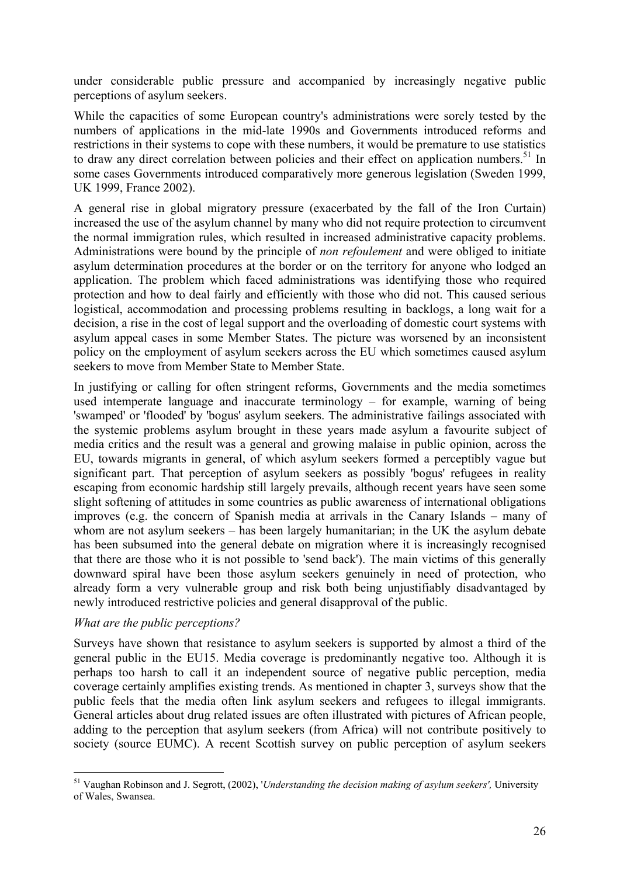under considerable public pressure and accompanied by increasingly negative public perceptions of asylum seekers.

While the capacities of some European country's administrations were sorely tested by the numbers of applications in the mid-late 1990s and Governments introduced reforms and restrictions in their systems to cope with these numbers, it would be premature to use statistics to draw any direct correlation between policies and their effect on application numbers.<sup>51</sup> In some cases Governments introduced comparatively more generous legislation (Sweden 1999, UK 1999, France 2002).

A general rise in global migratory pressure (exacerbated by the fall of the Iron Curtain) increased the use of the asylum channel by many who did not require protection to circumvent the normal immigration rules, which resulted in increased administrative capacity problems. Administrations were bound by the principle of *non refoulement* and were obliged to initiate asylum determination procedures at the border or on the territory for anyone who lodged an application. The problem which faced administrations was identifying those who required protection and how to deal fairly and efficiently with those who did not. This caused serious logistical, accommodation and processing problems resulting in backlogs, a long wait for a decision, a rise in the cost of legal support and the overloading of domestic court systems with asylum appeal cases in some Member States. The picture was worsened by an inconsistent policy on the employment of asylum seekers across the EU which sometimes caused asylum seekers to move from Member State to Member State.

In justifying or calling for often stringent reforms, Governments and the media sometimes used intemperate language and inaccurate terminology – for example, warning of being 'swamped' or 'flooded' by 'bogus' asylum seekers. The administrative failings associated with the systemic problems asylum brought in these years made asylum a favourite subject of media critics and the result was a general and growing malaise in public opinion, across the EU, towards migrants in general, of which asylum seekers formed a perceptibly vague but significant part. That perception of asylum seekers as possibly 'bogus' refugees in reality escaping from economic hardship still largely prevails, although recent years have seen some slight softening of attitudes in some countries as public awareness of international obligations improves (e.g. the concern of Spanish media at arrivals in the Canary Islands – many of whom are not asylum seekers – has been largely humanitarian; in the UK the asylum debate has been subsumed into the general debate on migration where it is increasingly recognised that there are those who it is not possible to 'send back'). The main victims of this generally downward spiral have been those asylum seekers genuinely in need of protection, who already form a very vulnerable group and risk both being unjustifiably disadvantaged by newly introduced restrictive policies and general disapproval of the public.

#### *What are the public perceptions?*

1

Surveys have shown that resistance to asylum seekers is supported by almost a third of the general public in the EU15. Media coverage is predominantly negative too. Although it is perhaps too harsh to call it an independent source of negative public perception, media coverage certainly amplifies existing trends. As mentioned in chapter 3, surveys show that the public feels that the media often link asylum seekers and refugees to illegal immigrants. General articles about drug related issues are often illustrated with pictures of African people, adding to the perception that asylum seekers (from Africa) will not contribute positively to society (source EUMC). A recent Scottish survey on public perception of asylum seekers

<sup>51</sup> Vaughan Robinson and J. Segrott, (2002), '*Understanding the decision making of asylum seekers',* University of Wales, Swansea.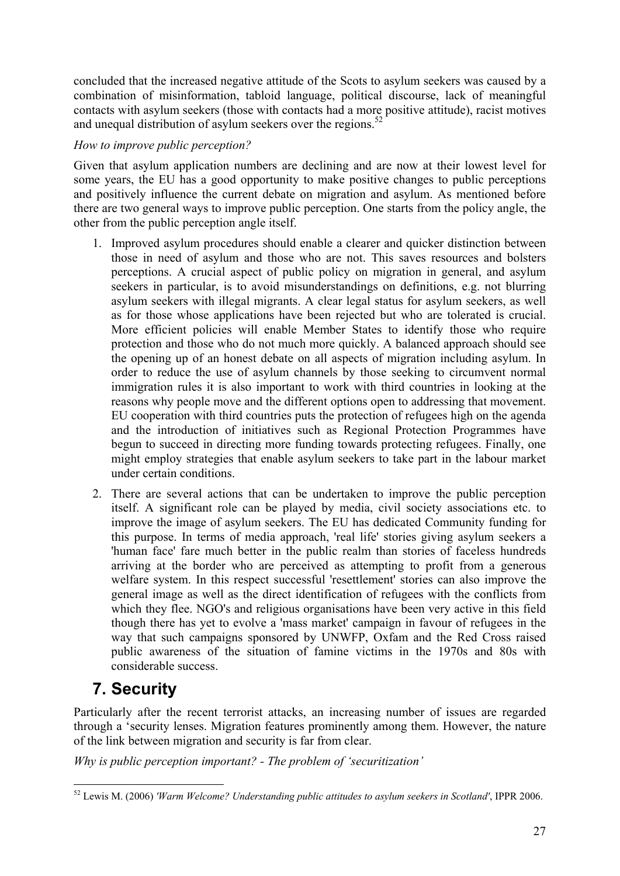concluded that the increased negative attitude of the Scots to asylum seekers was caused by a combination of misinformation, tabloid language, political discourse, lack of meaningful contacts with asylum seekers (those with contacts had a more positive attitude), racist motives and unequal distribution of asylum seekers over the regions.<sup>52</sup>

## *How to improve public perception?*

Given that asylum application numbers are declining and are now at their lowest level for some years, the EU has a good opportunity to make positive changes to public perceptions and positively influence the current debate on migration and asylum. As mentioned before there are two general ways to improve public perception. One starts from the policy angle, the other from the public perception angle itself.

- 1. Improved asylum procedures should enable a clearer and quicker distinction between those in need of asylum and those who are not. This saves resources and bolsters perceptions. A crucial aspect of public policy on migration in general, and asylum seekers in particular, is to avoid misunderstandings on definitions, e.g. not blurring asylum seekers with illegal migrants. A clear legal status for asylum seekers, as well as for those whose applications have been rejected but who are tolerated is crucial. More efficient policies will enable Member States to identify those who require protection and those who do not much more quickly. A balanced approach should see the opening up of an honest debate on all aspects of migration including asylum. In order to reduce the use of asylum channels by those seeking to circumvent normal immigration rules it is also important to work with third countries in looking at the reasons why people move and the different options open to addressing that movement. EU cooperation with third countries puts the protection of refugees high on the agenda and the introduction of initiatives such as Regional Protection Programmes have begun to succeed in directing more funding towards protecting refugees. Finally, one might employ strategies that enable asylum seekers to take part in the labour market under certain conditions.
- 2. There are several actions that can be undertaken to improve the public perception itself. A significant role can be played by media, civil society associations etc. to improve the image of asylum seekers. The EU has dedicated Community funding for this purpose. In terms of media approach, 'real life' stories giving asylum seekers a 'human face' fare much better in the public realm than stories of faceless hundreds arriving at the border who are perceived as attempting to profit from a generous welfare system. In this respect successful 'resettlement' stories can also improve the general image as well as the direct identification of refugees with the conflicts from which they flee. NGO's and religious organisations have been very active in this field though there has yet to evolve a 'mass market' campaign in favour of refugees in the way that such campaigns sponsored by UNWFP, Oxfam and the Red Cross raised public awareness of the situation of famine victims in the 1970s and 80s with considerable success.

# **7. Security**

Particularly after the recent terrorist attacks, an increasing number of issues are regarded through a 'security lenses. Migration features prominently among them. However, the nature of the link between migration and security is far from clear.

*Why is public perception important? - The problem of 'securitization'* 

<sup>1</sup> 52 Lewis M. (2006) *'Warm Welcome? Understanding public attitudes to asylum seekers in Scotland'*, IPPR 2006.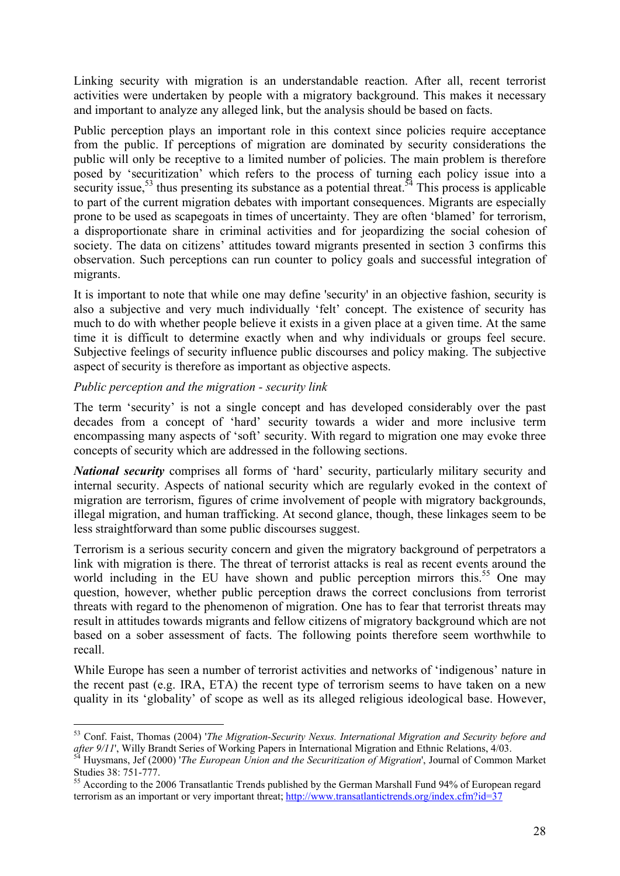Linking security with migration is an understandable reaction. After all, recent terrorist activities were undertaken by people with a migratory background. This makes it necessary and important to analyze any alleged link, but the analysis should be based on facts.

Public perception plays an important role in this context since policies require acceptance from the public. If perceptions of migration are dominated by security considerations the public will only be receptive to a limited number of policies. The main problem is therefore posed by 'securitization' which refers to the process of turning each policy issue into a security issue,<sup>53</sup> thus presenting its substance as a potential threat.<sup>54</sup> This process is applicable to part of the current migration debates with important consequences. Migrants are especially prone to be used as scapegoats in times of uncertainty. They are often 'blamed' for terrorism, a disproportionate share in criminal activities and for jeopardizing the social cohesion of society. The data on citizens' attitudes toward migrants presented in section 3 confirms this observation. Such perceptions can run counter to policy goals and successful integration of migrants.

It is important to note that while one may define 'security' in an objective fashion, security is also a subjective and very much individually 'felt' concept. The existence of security has much to do with whether people believe it exists in a given place at a given time. At the same time it is difficult to determine exactly when and why individuals or groups feel secure. Subjective feelings of security influence public discourses and policy making. The subjective aspect of security is therefore as important as objective aspects.

#### *Public perception and the migration - security link*

1

The term 'security' is not a single concept and has developed considerably over the past decades from a concept of 'hard' security towards a wider and more inclusive term encompassing many aspects of 'soft' security. With regard to migration one may evoke three concepts of security which are addressed in the following sections.

*National security* comprises all forms of 'hard' security, particularly military security and internal security. Aspects of national security which are regularly evoked in the context of migration are terrorism, figures of crime involvement of people with migratory backgrounds, illegal migration, and human trafficking. At second glance, though, these linkages seem to be less straightforward than some public discourses suggest.

Terrorism is a serious security concern and given the migratory background of perpetrators a link with migration is there. The threat of terrorist attacks is real as recent events around the world including in the EU have shown and public perception mirrors this.<sup>55</sup> One may question, however, whether public perception draws the correct conclusions from terrorist threats with regard to the phenomenon of migration. One has to fear that terrorist threats may result in attitudes towards migrants and fellow citizens of migratory background which are not based on a sober assessment of facts. The following points therefore seem worthwhile to recall.

While Europe has seen a number of terrorist activities and networks of 'indigenous' nature in the recent past (e.g. IRA, ETA) the recent type of terrorism seems to have taken on a new quality in its 'globality' of scope as well as its alleged religious ideological base. However,

<sup>&</sup>lt;sup>53</sup> Conf. Faist, Thomas (2004) '*The Migration-Security Nexus. International Migration and Security before and after 9/11'*, Willy Brandt Series of Working Papers in International Migration and Ethnic Relations, 4/03.

Huysmans, Jef (2000) 'The European Union and the Securitization of Migration', Journal of Common Market Studies 38: 751-777.

<sup>55</sup> According to the 2006 Transatlantic Trends published by the German Marshall Fund 94% of European regard terrorism as an important or very important threat; http://www.transatlantictrends.org/index.cfm?id=37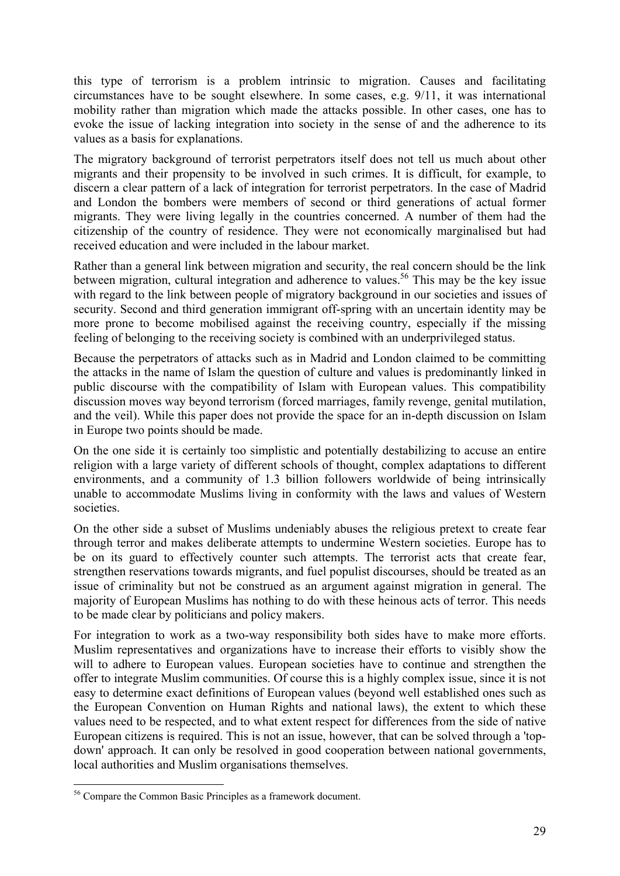this type of terrorism is a problem intrinsic to migration. Causes and facilitating circumstances have to be sought elsewhere. In some cases, e.g. 9/11, it was international mobility rather than migration which made the attacks possible. In other cases, one has to evoke the issue of lacking integration into society in the sense of and the adherence to its values as a basis for explanations.

The migratory background of terrorist perpetrators itself does not tell us much about other migrants and their propensity to be involved in such crimes. It is difficult, for example, to discern a clear pattern of a lack of integration for terrorist perpetrators. In the case of Madrid and London the bombers were members of second or third generations of actual former migrants. They were living legally in the countries concerned. A number of them had the citizenship of the country of residence. They were not economically marginalised but had received education and were included in the labour market.

Rather than a general link between migration and security, the real concern should be the link between migration, cultural integration and adherence to values.<sup>56</sup> This may be the key issue with regard to the link between people of migratory background in our societies and issues of security. Second and third generation immigrant off-spring with an uncertain identity may be more prone to become mobilised against the receiving country, especially if the missing feeling of belonging to the receiving society is combined with an underprivileged status.

Because the perpetrators of attacks such as in Madrid and London claimed to be committing the attacks in the name of Islam the question of culture and values is predominantly linked in public discourse with the compatibility of Islam with European values. This compatibility discussion moves way beyond terrorism (forced marriages, family revenge, genital mutilation, and the veil). While this paper does not provide the space for an in-depth discussion on Islam in Europe two points should be made.

On the one side it is certainly too simplistic and potentially destabilizing to accuse an entire religion with a large variety of different schools of thought, complex adaptations to different environments, and a community of 1.3 billion followers worldwide of being intrinsically unable to accommodate Muslims living in conformity with the laws and values of Western societies.

On the other side a subset of Muslims undeniably abuses the religious pretext to create fear through terror and makes deliberate attempts to undermine Western societies. Europe has to be on its guard to effectively counter such attempts. The terrorist acts that create fear, strengthen reservations towards migrants, and fuel populist discourses, should be treated as an issue of criminality but not be construed as an argument against migration in general. The majority of European Muslims has nothing to do with these heinous acts of terror. This needs to be made clear by politicians and policy makers.

For integration to work as a two-way responsibility both sides have to make more efforts. Muslim representatives and organizations have to increase their efforts to visibly show the will to adhere to European values. European societies have to continue and strengthen the offer to integrate Muslim communities. Of course this is a highly complex issue, since it is not easy to determine exact definitions of European values (beyond well established ones such as the European Convention on Human Rights and national laws), the extent to which these values need to be respected, and to what extent respect for differences from the side of native European citizens is required. This is not an issue, however, that can be solved through a 'topdown' approach. It can only be resolved in good cooperation between national governments, local authorities and Muslim organisations themselves.

<sup>1</sup> 56 Compare the Common Basic Principles as a framework document.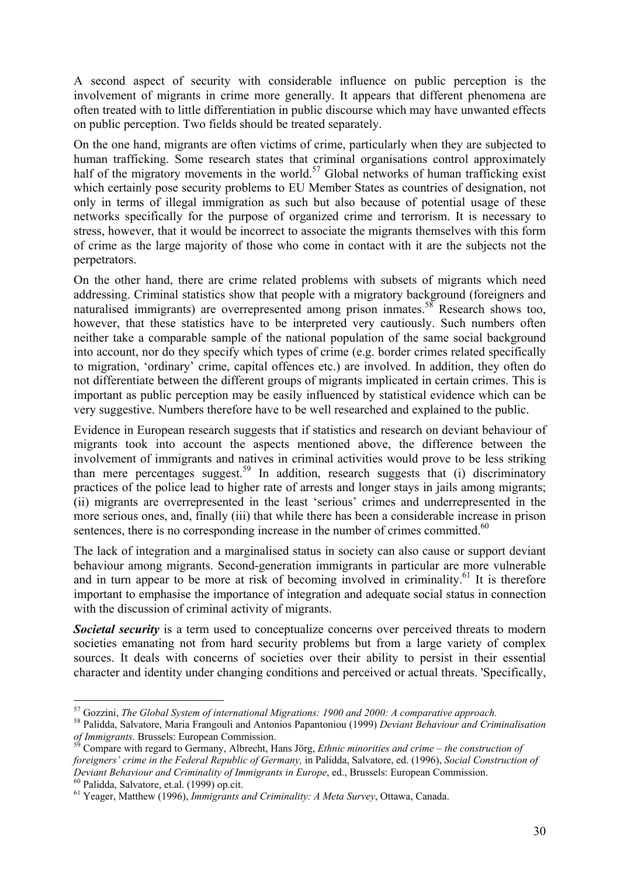A second aspect of security with considerable influence on public perception is the involvement of migrants in crime more generally. It appears that different phenomena are often treated with to little differentiation in public discourse which may have unwanted effects on public perception. Two fields should be treated separately.

On the one hand, migrants are often victims of crime, particularly when they are subjected to human trafficking. Some research states that criminal organisations control approximately half of the migratory movements in the world.<sup>57</sup> Global networks of human trafficking exist which certainly pose security problems to EU Member States as countries of designation, not only in terms of illegal immigration as such but also because of potential usage of these networks specifically for the purpose of organized crime and terrorism. It is necessary to stress, however, that it would be incorrect to associate the migrants themselves with this form of crime as the large majority of those who come in contact with it are the subjects not the perpetrators.

On the other hand, there are crime related problems with subsets of migrants which need addressing. Criminal statistics show that people with a migratory background (foreigners and naturalised immigrants) are overrepresented among prison inmates.<sup>58</sup> Research shows too, however, that these statistics have to be interpreted very cautiously. Such numbers often neither take a comparable sample of the national population of the same social background into account, nor do they specify which types of crime (e.g. border crimes related specifically to migration, 'ordinary' crime, capital offences etc.) are involved. In addition, they often do not differentiate between the different groups of migrants implicated in certain crimes. This is important as public perception may be easily influenced by statistical evidence which can be very suggestive. Numbers therefore have to be well researched and explained to the public.

Evidence in European research suggests that if statistics and research on deviant behaviour of migrants took into account the aspects mentioned above, the difference between the involvement of immigrants and natives in criminal activities would prove to be less striking than mere percentages suggest.<sup>59</sup> In addition, research suggests that (i) discriminatory practices of the police lead to higher rate of arrests and longer stays in jails among migrants; (ii) migrants are overrepresented in the least 'serious' crimes and underrepresented in the more serious ones, and, finally (iii) that while there has been a considerable increase in prison sentences, there is no corresponding increase in the number of crimes committed. $60$ 

The lack of integration and a marginalised status in society can also cause or support deviant behaviour among migrants. Second-generation immigrants in particular are more vulnerable and in turn appear to be more at risk of becoming involved in criminality.<sup>61</sup> It is therefore important to emphasise the importance of integration and adequate social status in connection with the discussion of criminal activity of migrants.

**Societal security** is a term used to conceptualize concerns over perceived threats to modern societies emanating not from hard security problems but from a large variety of complex sources. It deals with concerns of societies over their ability to persist in their essential character and identity under changing conditions and perceived or actual threats. 'Specifically,

<sup>&</sup>lt;sup>57</sup> Gozzini, *The Global System of international Migrations: 1900 and 2000: A comparative approach.* <sup>58</sup> Palidda, Salvatore, Maria Frangouli and Antonios Papantoniou (1999) *Deviant Behaviour and Criminalisation of Immig* 

Compare with regard to Germany, Albrecht, Hans Jörg, *Ethnic minorities and crime – the construction of foreigners' crime in the Federal Republic of Germany,* in Palidda, Salvatore, ed. (1996), *Social Construction of Deviant Behaviour and Criminality of Immigrants in Europe*, ed., Brussels: European Commission.<br><sup>60</sup> Palidda, Salvatore, et.al. (1999) op.cit.

<sup>61</sup> Yeager, Matthew (1996), *Immigrants and Criminality: A Meta Survey*, Ottawa, Canada.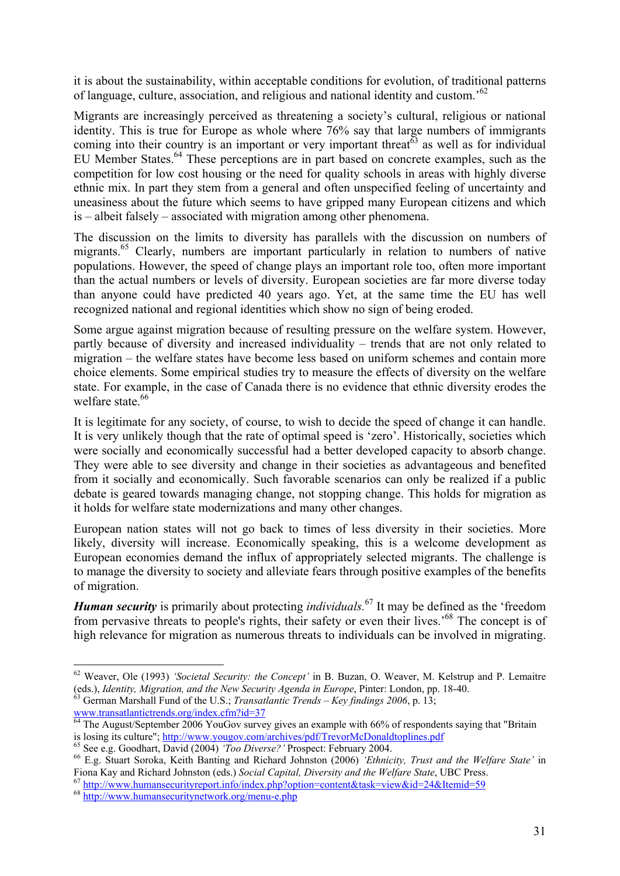it is about the sustainability, within acceptable conditions for evolution, of traditional patterns of language, culture, association, and religious and national identity and custom.'62

Migrants are increasingly perceived as threatening a society's cultural, religious or national identity. This is true for Europe as whole where 76% say that large numbers of immigrants coming into their country is an important or very important threat<sup> $63$ </sup> as well as for individual EU Member States.<sup>64</sup> These perceptions are in part based on concrete examples, such as the competition for low cost housing or the need for quality schools in areas with highly diverse ethnic mix. In part they stem from a general and often unspecified feeling of uncertainty and uneasiness about the future which seems to have gripped many European citizens and which is – albeit falsely – associated with migration among other phenomena.

The discussion on the limits to diversity has parallels with the discussion on numbers of migrants.<sup>65</sup> Clearly, numbers are important particularly in relation to numbers of native populations. However, the speed of change plays an important role too, often more important than the actual numbers or levels of diversity. European societies are far more diverse today than anyone could have predicted 40 years ago. Yet, at the same time the EU has well recognized national and regional identities which show no sign of being eroded.

Some argue against migration because of resulting pressure on the welfare system. However, partly because of diversity and increased individuality – trends that are not only related to migration – the welfare states have become less based on uniform schemes and contain more choice elements. Some empirical studies try to measure the effects of diversity on the welfare state. For example, in the case of Canada there is no evidence that ethnic diversity erodes the welfare state.<sup>66</sup>

It is legitimate for any society, of course, to wish to decide the speed of change it can handle. It is very unlikely though that the rate of optimal speed is 'zero'. Historically, societies which were socially and economically successful had a better developed capacity to absorb change. They were able to see diversity and change in their societies as advantageous and benefited from it socially and economically. Such favorable scenarios can only be realized if a public debate is geared towards managing change, not stopping change. This holds for migration as it holds for welfare state modernizations and many other changes.

European nation states will not go back to times of less diversity in their societies. More likely, diversity will increase. Economically speaking, this is a welcome development as European economies demand the influx of appropriately selected migrants. The challenge is to manage the diversity to society and alleviate fears through positive examples of the benefits of migration.

*Human security* is primarily about protecting *individuals.*67 It may be defined as the 'freedom from pervasive threats to people's rights, their safety or even their lives.'68 The concept is of high relevance for migration as numerous threats to individuals can be involved in migrating.

<sup>62</sup> Weaver, Ole (1993) *'Societal Security: the Concept'* in B. Buzan, O. Weaver, M. Kelstrup and P. Lemaitre

<sup>&</sup>lt;sup>63</sup> German Marshall Fund of the U.S.; *Transatlantic Trends – Key findings 2006*, p. 13;

www.transatlantictrends.org/index.cfm?id=37<br><sup>64</sup> The August/September 2006 YouGov survey gives an example with 66% of respondents saying that "Britain"

is losing its culture"; http://www.yougov.com/archives/pdf/TrevorMcDonaldtoplines.pdf<br>
<sup>65</sup> See e.g. Goodhart, David (2004) '*Too Diverse?*' Prospect: February 2004.<br>
<sup>66</sup> E.g. Stuart Soroka, Keith Banting and Richard John

Fiona Kay and Richard Johnston (eds.) Social Capital, Diversity and the Welfare State, UBC Press.<br>  $^{67}$  http://www.humansecurityreport.info/index.php?option=content&task=view&id=24&Itemid=59<br>  $^{68}$  http://www.humansecu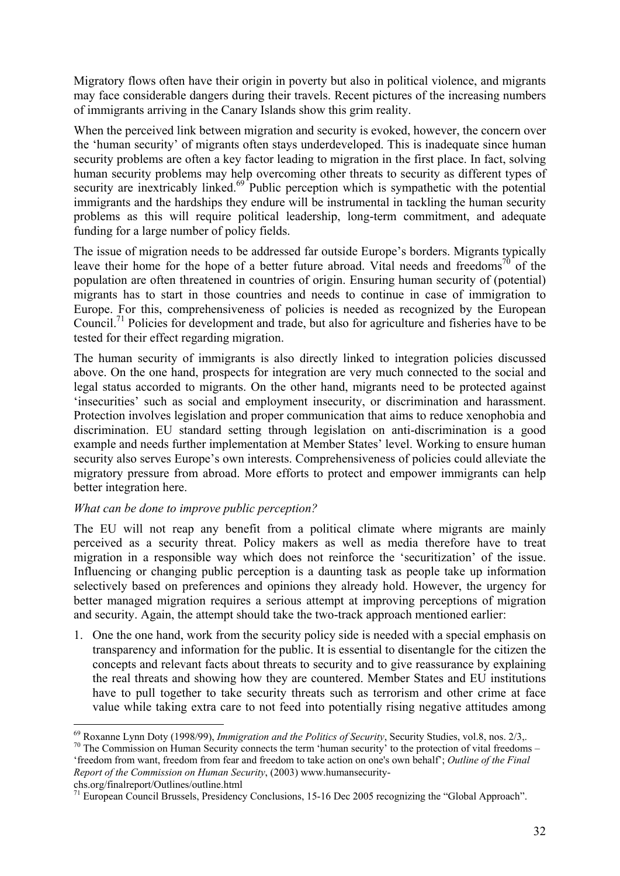Migratory flows often have their origin in poverty but also in political violence, and migrants may face considerable dangers during their travels. Recent pictures of the increasing numbers of immigrants arriving in the Canary Islands show this grim reality.

When the perceived link between migration and security is evoked, however, the concern over the 'human security' of migrants often stays underdeveloped. This is inadequate since human security problems are often a key factor leading to migration in the first place. In fact, solving human security problems may help overcoming other threats to security as different types of security are inextricably linked.<sup>69</sup> Public perception which is sympathetic with the potential immigrants and the hardships they endure will be instrumental in tackling the human security problems as this will require political leadership, long-term commitment, and adequate funding for a large number of policy fields.

The issue of migration needs to be addressed far outside Europe's borders. Migrants typically leave their home for the hope of a better future abroad. Vital needs and freedoms<sup>70</sup> of the population are often threatened in countries of origin. Ensuring human security of (potential) migrants has to start in those countries and needs to continue in case of immigration to Europe. For this, comprehensiveness of policies is needed as recognized by the European Council.71 Policies for development and trade, but also for agriculture and fisheries have to be tested for their effect regarding migration.

The human security of immigrants is also directly linked to integration policies discussed above. On the one hand, prospects for integration are very much connected to the social and legal status accorded to migrants. On the other hand, migrants need to be protected against 'insecurities' such as social and employment insecurity, or discrimination and harassment. Protection involves legislation and proper communication that aims to reduce xenophobia and discrimination. EU standard setting through legislation on anti-discrimination is a good example and needs further implementation at Member States' level. Working to ensure human security also serves Europe's own interests. Comprehensiveness of policies could alleviate the migratory pressure from abroad. More efforts to protect and empower immigrants can help better integration here.

### *What can be done to improve public perception?*

The EU will not reap any benefit from a political climate where migrants are mainly perceived as a security threat. Policy makers as well as media therefore have to treat migration in a responsible way which does not reinforce the 'securitization' of the issue. Influencing or changing public perception is a daunting task as people take up information selectively based on preferences and opinions they already hold. However, the urgency for better managed migration requires a serious attempt at improving perceptions of migration and security. Again, the attempt should take the two-track approach mentioned earlier:

1. One the one hand, work from the security policy side is needed with a special emphasis on transparency and information for the public. It is essential to disentangle for the citizen the concepts and relevant facts about threats to security and to give reassurance by explaining the real threats and showing how they are countered. Member States and EU institutions have to pull together to take security threats such as terrorism and other crime at face value while taking extra care to not feed into potentially rising negative attitudes among

'freedom from want, freedom from fear and freedom to take action on one's own behalf'; *Outline of the Final Report of the Commission on Human Security*, (2003) www.humansecurity-

chs.org/finalreport/Outlines/outline.html

<sup>&</sup>lt;sup>69</sup> Roxanne Lynn Doty (1998/99), *Immigration and the Politics of Security*, Security Studies, vol.8, nos. 2/3,.<br><sup>70</sup> The Commission on Human Security connects the term 'human security' to the protection of vital freedom

<sup>&</sup>lt;sup>71</sup> European Council Brussels, Presidency Conclusions, 15-16 Dec 2005 recognizing the "Global Approach".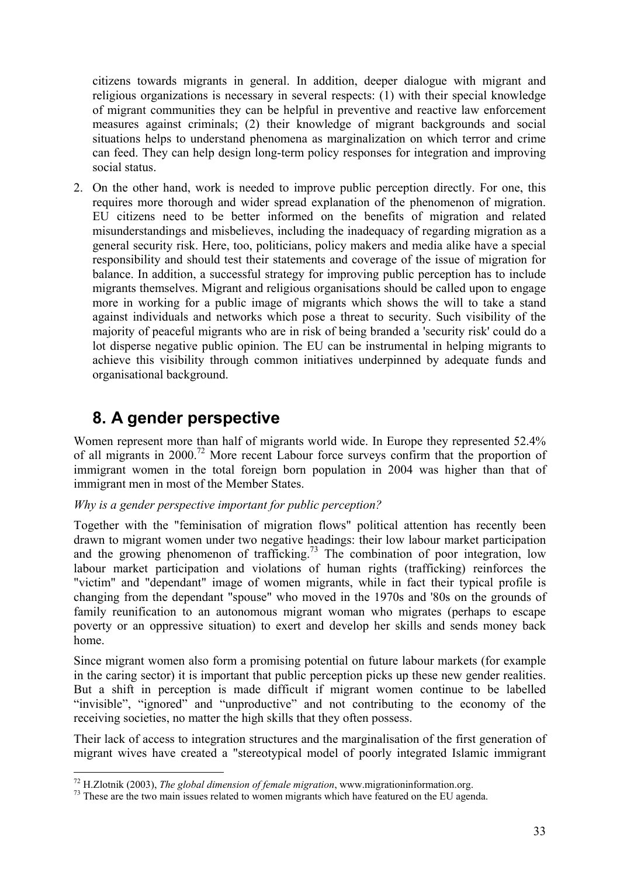citizens towards migrants in general. In addition, deeper dialogue with migrant and religious organizations is necessary in several respects: (1) with their special knowledge of migrant communities they can be helpful in preventive and reactive law enforcement measures against criminals; (2) their knowledge of migrant backgrounds and social situations helps to understand phenomena as marginalization on which terror and crime can feed. They can help design long-term policy responses for integration and improving social status.

2. On the other hand, work is needed to improve public perception directly. For one, this requires more thorough and wider spread explanation of the phenomenon of migration. EU citizens need to be better informed on the benefits of migration and related misunderstandings and misbelieves, including the inadequacy of regarding migration as a general security risk. Here, too, politicians, policy makers and media alike have a special responsibility and should test their statements and coverage of the issue of migration for balance. In addition, a successful strategy for improving public perception has to include migrants themselves. Migrant and religious organisations should be called upon to engage more in working for a public image of migrants which shows the will to take a stand against individuals and networks which pose a threat to security. Such visibility of the majority of peaceful migrants who are in risk of being branded a 'security risk' could do a lot disperse negative public opinion. The EU can be instrumental in helping migrants to achieve this visibility through common initiatives underpinned by adequate funds and organisational background.

# **8. A gender perspective**

Women represent more than half of migrants world wide. In Europe they represented 52.4% of all migrants in 2000.72 More recent Labour force surveys confirm that the proportion of immigrant women in the total foreign born population in 2004 was higher than that of immigrant men in most of the Member States.

### *Why is a gender perspective important for public perception?*

Together with the "feminisation of migration flows" political attention has recently been drawn to migrant women under two negative headings: their low labour market participation and the growing phenomenon of trafficking.<sup>73</sup> The combination of poor integration, low labour market participation and violations of human rights (trafficking) reinforces the "victim" and "dependant" image of women migrants, while in fact their typical profile is changing from the dependant "spouse" who moved in the 1970s and '80s on the grounds of family reunification to an autonomous migrant woman who migrates (perhaps to escape poverty or an oppressive situation) to exert and develop her skills and sends money back home.

Since migrant women also form a promising potential on future labour markets (for example in the caring sector) it is important that public perception picks up these new gender realities. But a shift in perception is made difficult if migrant women continue to be labelled "invisible", "ignored" and "unproductive" and not contributing to the economy of the receiving societies, no matter the high skills that they often possess.

Their lack of access to integration structures and the marginalisation of the first generation of migrant wives have created a "stereotypical model of poorly integrated Islamic immigrant

 $^{72}$  H.Zlotnik (2003), The global dimension of female migration, www.migrationinformation.org.

<sup>&</sup>lt;sup>73</sup> These are the two main issues related to women migrants which have featured on the EU agenda.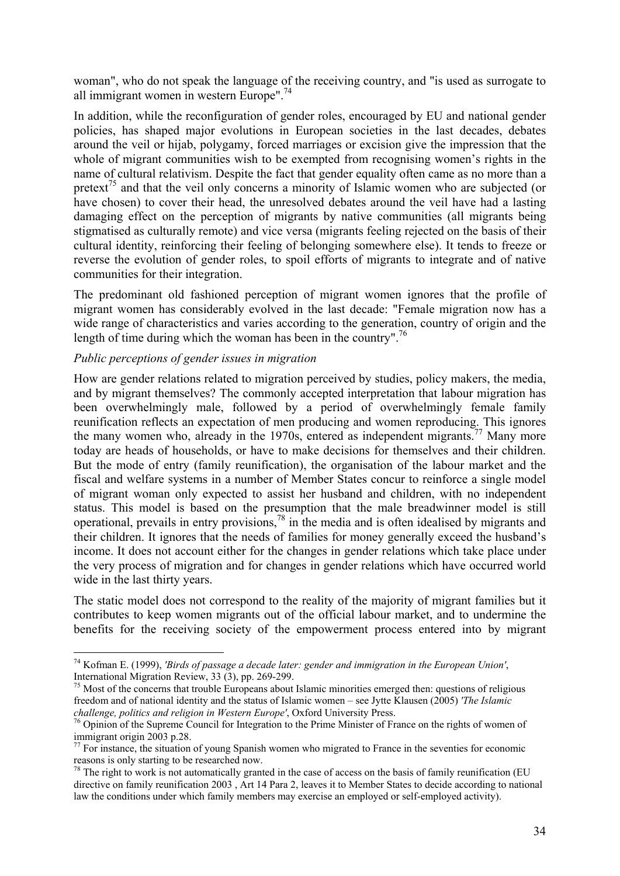woman", who do not speak the language of the receiving country, and "is used as surrogate to all immigrant women in western Europe".74

In addition, while the reconfiguration of gender roles, encouraged by EU and national gender policies, has shaped major evolutions in European societies in the last decades, debates around the veil or hijab, polygamy, forced marriages or excision give the impression that the whole of migrant communities wish to be exempted from recognising women's rights in the name of cultural relativism. Despite the fact that gender equality often came as no more than a pretext<sup>75</sup> and that the veil only concerns a minority of Islamic women who are subjected (or have chosen) to cover their head, the unresolved debates around the veil have had a lasting damaging effect on the perception of migrants by native communities (all migrants being stigmatised as culturally remote) and vice versa (migrants feeling rejected on the basis of their cultural identity, reinforcing their feeling of belonging somewhere else). It tends to freeze or reverse the evolution of gender roles, to spoil efforts of migrants to integrate and of native communities for their integration.

The predominant old fashioned perception of migrant women ignores that the profile of migrant women has considerably evolved in the last decade: "Female migration now has a wide range of characteristics and varies according to the generation, country of origin and the length of time during which the woman has been in the country".<sup>76</sup>

#### *Public perceptions of gender issues in migration*

1

How are gender relations related to migration perceived by studies, policy makers, the media, and by migrant themselves? The commonly accepted interpretation that labour migration has been overwhelmingly male, followed by a period of overwhelmingly female family reunification reflects an expectation of men producing and women reproducing. This ignores the many women who, already in the 1970s, entered as independent migrants.<sup>77</sup> Many more today are heads of households, or have to make decisions for themselves and their children. But the mode of entry (family reunification), the organisation of the labour market and the fiscal and welfare systems in a number of Member States concur to reinforce a single model of migrant woman only expected to assist her husband and children, with no independent status. This model is based on the presumption that the male breadwinner model is still operational, prevails in entry provisions,  $^{78}$  in the media and is often idealised by migrants and their children. It ignores that the needs of families for money generally exceed the husband's income. It does not account either for the changes in gender relations which take place under the very process of migration and for changes in gender relations which have occurred world wide in the last thirty years.

The static model does not correspond to the reality of the majority of migrant families but it contributes to keep women migrants out of the official labour market, and to undermine the benefits for the receiving society of the empowerment process entered into by migrant

<sup>74</sup> Kofman E. (1999), *'Birds of passage a decade later: gender and immigration in the European Union'*, International Migration Review, 33 (3), pp. 269-299.

<sup>&</sup>lt;sup>75</sup> Most of the concerns that trouble Europeans about Islamic minorities emerged then: questions of religious freedom and of national identity and the status of Islamic women – see Jytte Klausen (2005) *'The Islamic* 

<sup>&</sup>lt;sup>76</sup> Opinion of the Supreme Council for Integration to the Prime Minister of France on the rights of women of immigrant origin 2003 p.28.

 $77$  For instance, the situation of young Spanish women who migrated to France in the seventies for economic reasons is only starting to be researched now.<br><sup>78</sup> The right to work is not automatically granted in the case of access on the basis of family reunification (EU

directive on family reunification 2003 , Art 14 Para 2, leaves it to Member States to decide according to national law the conditions under which family members may exercise an employed or self-employed activity).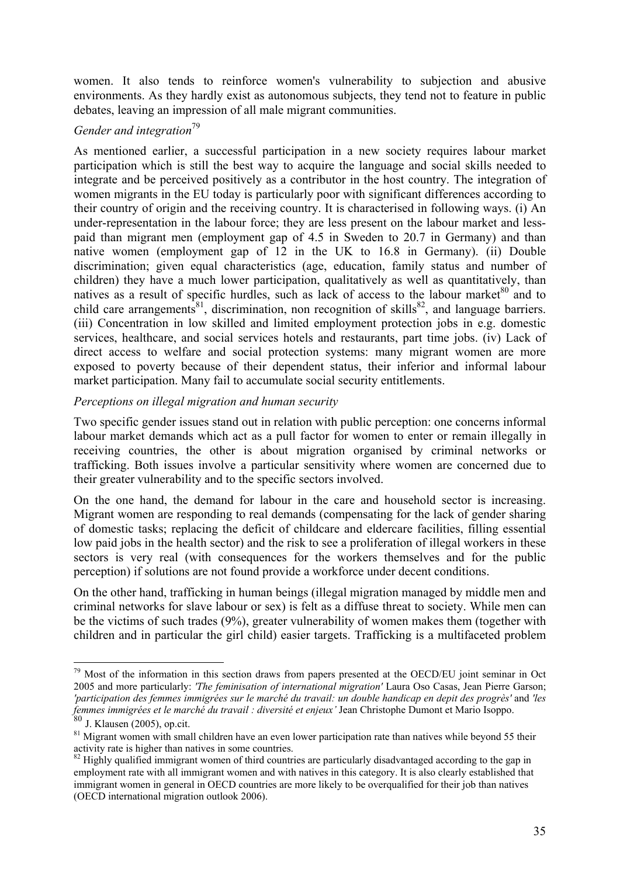women. It also tends to reinforce women's vulnerability to subjection and abusive environments. As they hardly exist as autonomous subjects, they tend not to feature in public debates, leaving an impression of all male migrant communities.

## *Gender and integration*<sup>79</sup>

As mentioned earlier, a successful participation in a new society requires labour market participation which is still the best way to acquire the language and social skills needed to integrate and be perceived positively as a contributor in the host country. The integration of women migrants in the EU today is particularly poor with significant differences according to their country of origin and the receiving country. It is characterised in following ways. (i) An under-representation in the labour force; they are less present on the labour market and lesspaid than migrant men (employment gap of 4.5 in Sweden to 20.7 in Germany) and than native women (employment gap of 12 in the UK to 16.8 in Germany). (ii) Double discrimination; given equal characteristics (age, education, family status and number of children) they have a much lower participation, qualitatively as well as quantitatively, than natives as a result of specific hurdles, such as lack of access to the labour market  $80$  and to child care arrangements<sup>81</sup>, discrimination, non recognition of skills<sup>82</sup>, and language barriers. (iii) Concentration in low skilled and limited employment protection jobs in e.g. domestic services, healthcare, and social services hotels and restaurants, part time jobs. (iv) Lack of direct access to welfare and social protection systems: many migrant women are more exposed to poverty because of their dependent status, their inferior and informal labour market participation. Many fail to accumulate social security entitlements.

### *Perceptions on illegal migration and human security*

Two specific gender issues stand out in relation with public perception: one concerns informal labour market demands which act as a pull factor for women to enter or remain illegally in receiving countries, the other is about migration organised by criminal networks or trafficking. Both issues involve a particular sensitivity where women are concerned due to their greater vulnerability and to the specific sectors involved.

On the one hand, the demand for labour in the care and household sector is increasing. Migrant women are responding to real demands (compensating for the lack of gender sharing of domestic tasks; replacing the deficit of childcare and eldercare facilities, filling essential low paid jobs in the health sector) and the risk to see a proliferation of illegal workers in these sectors is very real (with consequences for the workers themselves and for the public perception) if solutions are not found provide a workforce under decent conditions.

On the other hand, trafficking in human beings (illegal migration managed by middle men and criminal networks for slave labour or sex) is felt as a diffuse threat to society. While men can be the victims of such trades (9%), greater vulnerability of women makes them (together with children and in particular the girl child) easier targets. Trafficking is a multifaceted problem

<u>.</u>

 $79$  Most of the information in this section draws from papers presented at the OECD/EU joint seminar in Oct 2005 and more particularly: *'The feminisation of international migration'* Laura Oso Casas, Jean Pierre Garson; *'participation des femmes immigrées sur le marché du travail: un double handicap en depit des progrès'* and *'les femmes immigrées et le marché du travail : diversité et enjeux'* Jean Christophe Dumont et Mario Isoppo.

 $81$  Migrant women with small children have an even lower participation rate than natives while beyond 55 their activity rate is higher than natives in some countries.

 $82$  Highly qualified immigrant women of third countries are particularly disadvantaged according to the gap in employment rate with all immigrant women and with natives in this category. It is also clearly established that immigrant women in general in OECD countries are more likely to be overqualified for their job than natives (OECD international migration outlook 2006).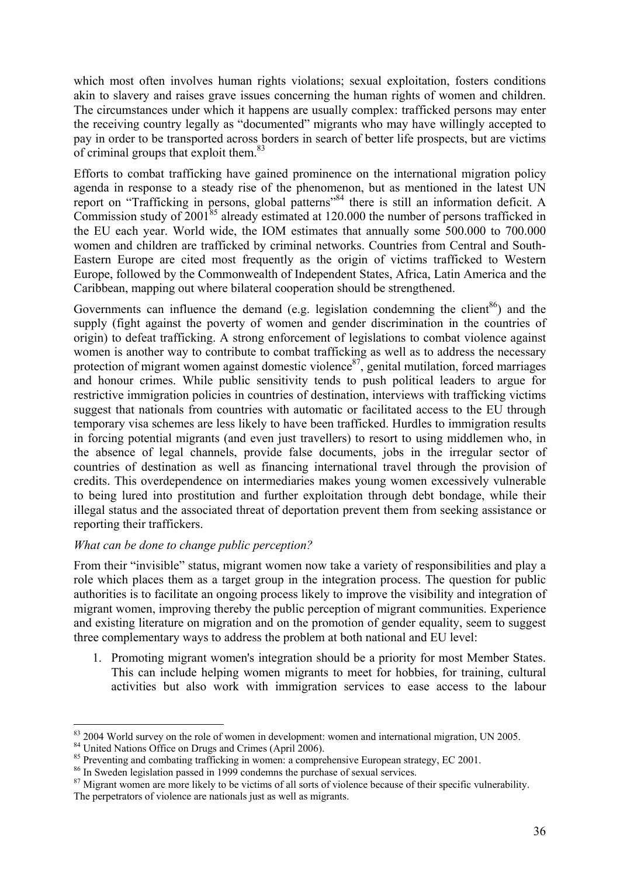which most often involves human rights violations; sexual exploitation, fosters conditions akin to slavery and raises grave issues concerning the human rights of women and children. The circumstances under which it happens are usually complex: trafficked persons may enter the receiving country legally as "documented" migrants who may have willingly accepted to pay in order to be transported across borders in search of better life prospects, but are victims of criminal groups that exploit them. $83$ 

Efforts to combat trafficking have gained prominence on the international migration policy agenda in response to a steady rise of the phenomenon, but as mentioned in the latest UN report on "Trafficking in persons, global patterns"84 there is still an information deficit. A Commission study of  $2001^{85}$  already estimated at 120.000 the number of persons trafficked in the EU each year. World wide, the IOM estimates that annually some 500.000 to 700.000 women and children are trafficked by criminal networks. Countries from Central and South-Eastern Europe are cited most frequently as the origin of victims trafficked to Western Europe, followed by the Commonwealth of Independent States, Africa, Latin America and the Caribbean, mapping out where bilateral cooperation should be strengthened.

Governments can influence the demand (e.g. legislation condemning the client<sup>86</sup>) and the supply (fight against the poverty of women and gender discrimination in the countries of origin) to defeat trafficking. A strong enforcement of legislations to combat violence against women is another way to contribute to combat trafficking as well as to address the necessary protection of migrant women against domestic violence $87$ , genital mutilation, forced marriages and honour crimes. While public sensitivity tends to push political leaders to argue for restrictive immigration policies in countries of destination, interviews with trafficking victims suggest that nationals from countries with automatic or facilitated access to the EU through temporary visa schemes are less likely to have been trafficked. Hurdles to immigration results in forcing potential migrants (and even just travellers) to resort to using middlemen who, in the absence of legal channels, provide false documents, jobs in the irregular sector of countries of destination as well as financing international travel through the provision of credits. This overdependence on intermediaries makes young women excessively vulnerable to being lured into prostitution and further exploitation through debt bondage, while their illegal status and the associated threat of deportation prevent them from seeking assistance or reporting their traffickers.

### *What can be done to change public perception?*

From their "invisible" status, migrant women now take a variety of responsibilities and play a role which places them as a target group in the integration process. The question for public authorities is to facilitate an ongoing process likely to improve the visibility and integration of migrant women, improving thereby the public perception of migrant communities. Experience and existing literature on migration and on the promotion of gender equality, seem to suggest three complementary ways to address the problem at both national and EU level:

1. Promoting migrant women's integration should be a priority for most Member States. This can include helping women migrants to meet for hobbies, for training, cultural activities but also work with immigration services to ease access to the labour

<sup>&</sup>lt;sup>83</sup> 2004 World survey on the role of women in development: women and international migration, UN 2005.

<sup>&</sup>lt;sup>84</sup> United Nations Office on Drugs and Crimes (April 2006).

<sup>&</sup>lt;sup>85</sup> Preventing and combating trafficking in women: a comprehensive European strategy, EC 2001.<br><sup>86</sup> In Sweden legislation passed in 1999 condemns the purchase of sexual services.

<sup>&</sup>lt;sup>87</sup> Migrant women are more likely to be victims of all sorts of violence because of their specific vulnerability. The perpetrators of violence are nationals just as well as migrants.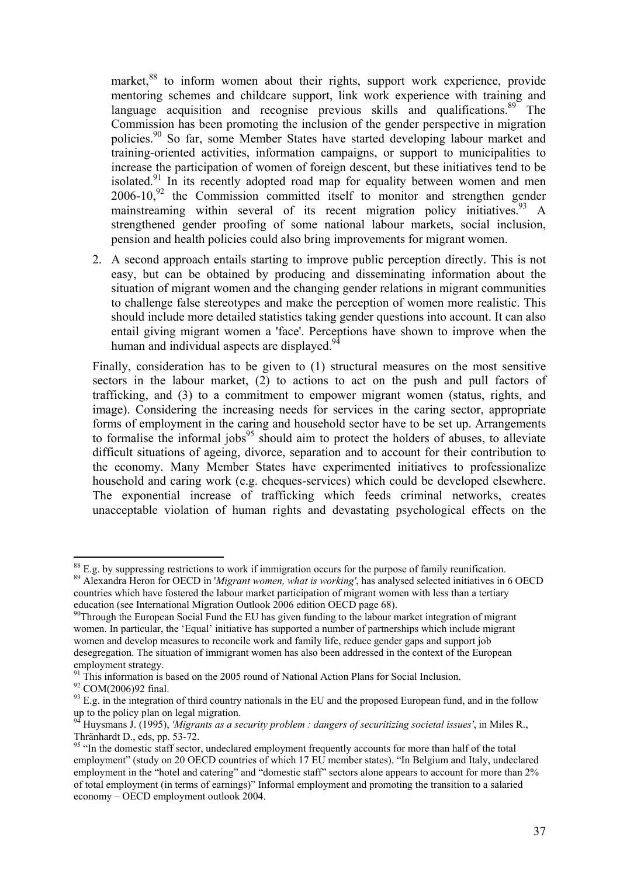market,<sup>88</sup> to inform women about their rights, support work experience, provide mentoring schemes and childcare support, link work experience with training and language acquisition and recognise previous skills and qualifications.<sup>89</sup> The Commission has been promoting the inclusion of the gender perspective in migration policies.90 So far, some Member States have started developing labour market and training-oriented activities, information campaigns, or support to municipalities to increase the participation of women of foreign descent, but these initiatives tend to be isolated.<sup>91</sup> In its recently adopted road map for equality between women and men  $2006-10$ ,  $^{92}$  the Commission committed itself to monitor and strengthen gender mainstreaming within several of its recent migration policy initiatives.<sup>93</sup> A strengthened gender proofing of some national labour markets, social inclusion, pension and health policies could also bring improvements for migrant women.

2. A second approach entails starting to improve public perception directly. This is not easy, but can be obtained by producing and disseminating information about the situation of migrant women and the changing gender relations in migrant communities to challenge false stereotypes and make the perception of women more realistic. This should include more detailed statistics taking gender questions into account. It can also entail giving migrant women a 'face'. Perceptions have shown to improve when the human and individual aspects are displayed. $94$ 

Finally, consideration has to be given to (1) structural measures on the most sensitive sectors in the labour market, (2) to actions to act on the push and pull factors of trafficking, and (3) to a commitment to empower migrant women (status, rights, and image). Considering the increasing needs for services in the caring sector, appropriate forms of employment in the caring and household sector have to be set up. Arrangements to formalise the informal jobs $95$  should aim to protect the holders of abuses, to alleviate difficult situations of ageing, divorce, separation and to account for their contribution to the economy. Many Member States have experimented initiatives to professionalize household and caring work (e.g. cheques-services) which could be developed elsewhere. The exponential increase of trafficking which feeds criminal networks, creates unacceptable violation of human rights and devastating psychological effects on the

<u>.</u>

 $88$  E.g. by suppressing restrictions to work if immigration occurs for the purpose of family reunification.

<sup>89</sup> Alexandra Heron for OECD in '*Migrant women, what is working'*, has analysed selected initiatives in 6 OECD countries which have fostered the labour market participation of migrant women with less than a tertiary education (see International Migration Outlook 2006 edition OECD page 68).<br><sup>90</sup>Through the European Social Fund the EU has given funding to the labour market integration of migrant

women. In particular, the 'Equal' initiative has supported a number of partnerships which include migrant women and develop measures to reconcile work and family life, reduce gender gaps and support job desegregation. The situation of immigrant women has also been addressed in the context of the European employment strategy.

 $91$  This information is based on the 2005 round of National Action Plans for Social Inclusion.

<sup>92</sup> COM(2006)92 final.

 $93$  E.g. in the integration of third country nationals in the EU and the proposed European fund, and in the follow up to the policy plan on legal migration.

<sup>94</sup> Huysmans J. (1995), *'Migrants as a security problem : dangers of securitizing societal issues'*, in Miles R., Thränhardt D., eds, pp. 53-72.

<sup>&</sup>lt;sup>95</sup> "In the domestic staff sector, undeclared employment frequently accounts for more than half of the total employment" (study on 20 OECD countries of which 17 EU member states). "In Belgium and Italy, undeclared employment in the "hotel and catering" and "domestic staff" sectors alone appears to account for more than 2% of total employment (in terms of earnings)" Informal employment and promoting the transition to a salaried economy – OECD employment outlook 2004.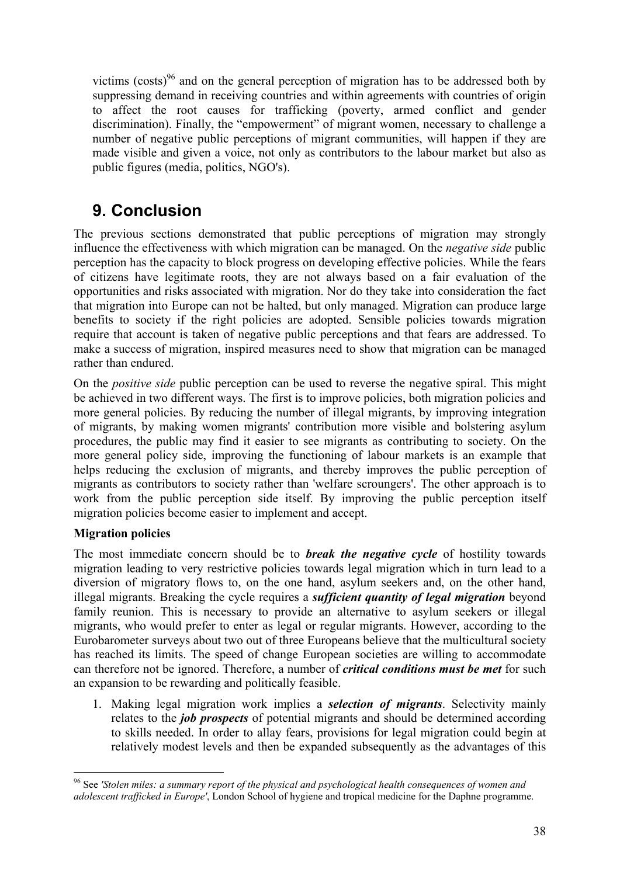victims (costs)<sup>96</sup> and on the general perception of migration has to be addressed both by suppressing demand in receiving countries and within agreements with countries of origin to affect the root causes for trafficking (poverty, armed conflict and gender discrimination). Finally, the "empowerment" of migrant women, necessary to challenge a number of negative public perceptions of migrant communities, will happen if they are made visible and given a voice, not only as contributors to the labour market but also as public figures (media, politics, NGO's).

# **9. Conclusion**

The previous sections demonstrated that public perceptions of migration may strongly influence the effectiveness with which migration can be managed. On the *negative side* public perception has the capacity to block progress on developing effective policies. While the fears of citizens have legitimate roots, they are not always based on a fair evaluation of the opportunities and risks associated with migration. Nor do they take into consideration the fact that migration into Europe can not be halted, but only managed. Migration can produce large benefits to society if the right policies are adopted. Sensible policies towards migration require that account is taken of negative public perceptions and that fears are addressed. To make a success of migration, inspired measures need to show that migration can be managed rather than endured.

On the *positive side* public perception can be used to reverse the negative spiral. This might be achieved in two different ways. The first is to improve policies, both migration policies and more general policies. By reducing the number of illegal migrants, by improving integration of migrants, by making women migrants' contribution more visible and bolstering asylum procedures, the public may find it easier to see migrants as contributing to society. On the more general policy side, improving the functioning of labour markets is an example that helps reducing the exclusion of migrants, and thereby improves the public perception of migrants as contributors to society rather than 'welfare scroungers'. The other approach is to work from the public perception side itself. By improving the public perception itself migration policies become easier to implement and accept.

## **Migration policies**

1

The most immediate concern should be to *break the negative cycle* of hostility towards migration leading to very restrictive policies towards legal migration which in turn lead to a diversion of migratory flows to, on the one hand, asylum seekers and, on the other hand, illegal migrants. Breaking the cycle requires a *sufficient quantity of legal migration* beyond family reunion. This is necessary to provide an alternative to asylum seekers or illegal migrants, who would prefer to enter as legal or regular migrants. However, according to the Eurobarometer surveys about two out of three Europeans believe that the multicultural society has reached its limits. The speed of change European societies are willing to accommodate can therefore not be ignored. Therefore, a number of *critical conditions must be met* for such an expansion to be rewarding and politically feasible.

1. Making legal migration work implies a *selection of migrants*. Selectivity mainly relates to the *job prospects* of potential migrants and should be determined according to skills needed. In order to allay fears, provisions for legal migration could begin at relatively modest levels and then be expanded subsequently as the advantages of this

<sup>96</sup> See *'Stolen miles: a summary report of the physical and psychological health consequences of women and adolescent trafficked in Europe'*, London School of hygiene and tropical medicine for the Daphne programme.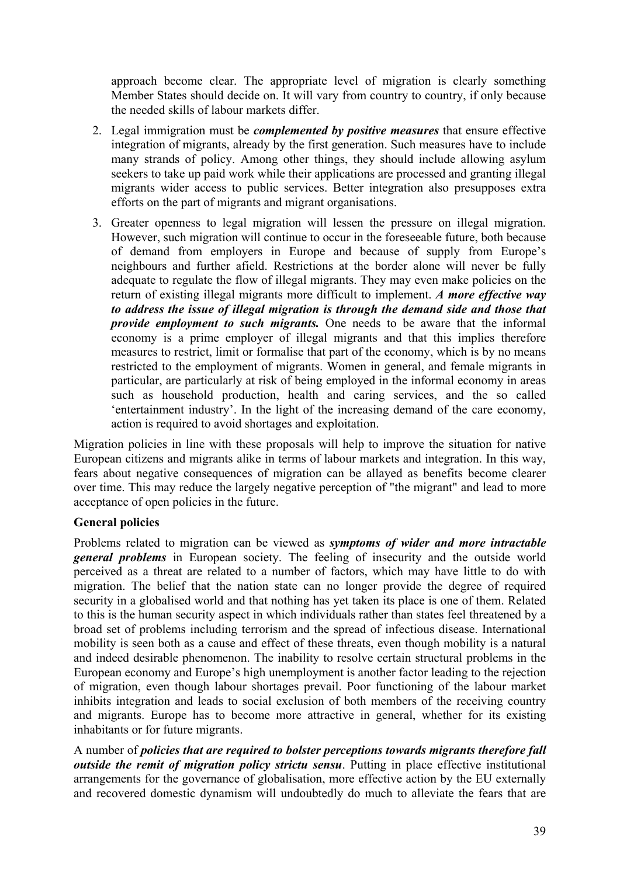approach become clear. The appropriate level of migration is clearly something Member States should decide on. It will vary from country to country, if only because the needed skills of labour markets differ.

- 2. Legal immigration must be *complemented by positive measures* that ensure effective integration of migrants, already by the first generation. Such measures have to include many strands of policy. Among other things, they should include allowing asylum seekers to take up paid work while their applications are processed and granting illegal migrants wider access to public services. Better integration also presupposes extra efforts on the part of migrants and migrant organisations.
- 3. Greater openness to legal migration will lessen the pressure on illegal migration. However, such migration will continue to occur in the foreseeable future, both because of demand from employers in Europe and because of supply from Europe's neighbours and further afield. Restrictions at the border alone will never be fully adequate to regulate the flow of illegal migrants. They may even make policies on the return of existing illegal migrants more difficult to implement. *A more effective way to address the issue of illegal migration is through the demand side and those that provide employment to such migrants.* One needs to be aware that the informal economy is a prime employer of illegal migrants and that this implies therefore measures to restrict, limit or formalise that part of the economy, which is by no means restricted to the employment of migrants. Women in general, and female migrants in particular, are particularly at risk of being employed in the informal economy in areas such as household production, health and caring services, and the so called 'entertainment industry'. In the light of the increasing demand of the care economy, action is required to avoid shortages and exploitation.

Migration policies in line with these proposals will help to improve the situation for native European citizens and migrants alike in terms of labour markets and integration. In this way, fears about negative consequences of migration can be allayed as benefits become clearer over time. This may reduce the largely negative perception of "the migrant" and lead to more acceptance of open policies in the future.

### **General policies**

Problems related to migration can be viewed as *symptoms of wider and more intractable general problems* in European society. The feeling of insecurity and the outside world perceived as a threat are related to a number of factors, which may have little to do with migration. The belief that the nation state can no longer provide the degree of required security in a globalised world and that nothing has yet taken its place is one of them. Related to this is the human security aspect in which individuals rather than states feel threatened by a broad set of problems including terrorism and the spread of infectious disease. International mobility is seen both as a cause and effect of these threats, even though mobility is a natural and indeed desirable phenomenon. The inability to resolve certain structural problems in the European economy and Europe's high unemployment is another factor leading to the rejection of migration, even though labour shortages prevail. Poor functioning of the labour market inhibits integration and leads to social exclusion of both members of the receiving country and migrants. Europe has to become more attractive in general, whether for its existing inhabitants or for future migrants.

A number of *policies that are required to bolster perceptions towards migrants therefore fall outside the remit of migration policy strictu sensu*. Putting in place effective institutional arrangements for the governance of globalisation, more effective action by the EU externally and recovered domestic dynamism will undoubtedly do much to alleviate the fears that are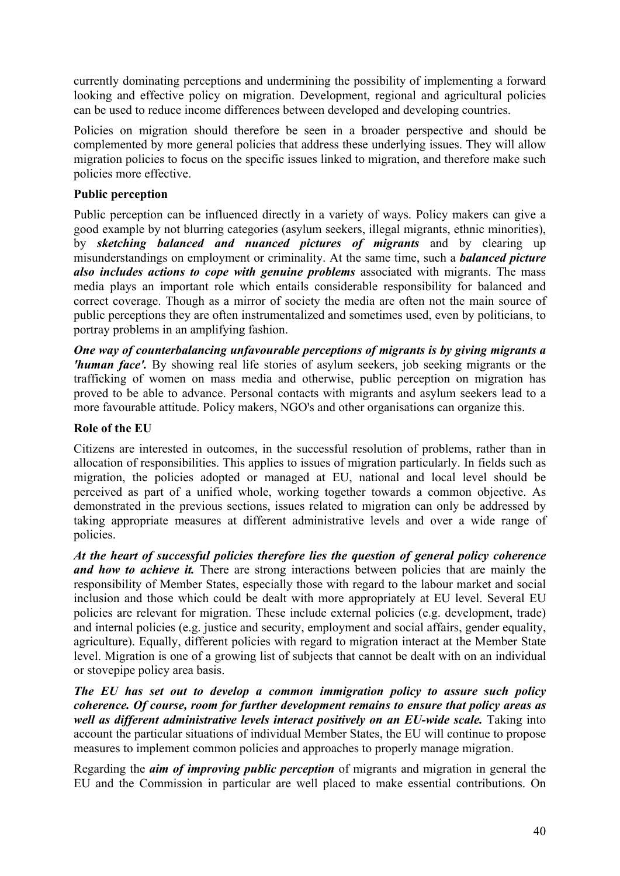currently dominating perceptions and undermining the possibility of implementing a forward looking and effective policy on migration. Development, regional and agricultural policies can be used to reduce income differences between developed and developing countries.

Policies on migration should therefore be seen in a broader perspective and should be complemented by more general policies that address these underlying issues. They will allow migration policies to focus on the specific issues linked to migration, and therefore make such policies more effective.

### **Public perception**

Public perception can be influenced directly in a variety of ways. Policy makers can give a good example by not blurring categories (asylum seekers, illegal migrants, ethnic minorities), by *sketching balanced and nuanced pictures of migrants* and by clearing up misunderstandings on employment or criminality. At the same time, such a *balanced picture also includes actions to cope with genuine problems* associated with migrants. The mass media plays an important role which entails considerable responsibility for balanced and correct coverage. Though as a mirror of society the media are often not the main source of public perceptions they are often instrumentalized and sometimes used, even by politicians, to portray problems in an amplifying fashion.

*One way of counterbalancing unfavourable perceptions of migrants is by giving migrants a 'human face'.* By showing real life stories of asylum seekers, job seeking migrants or the trafficking of women on mass media and otherwise, public perception on migration has proved to be able to advance. Personal contacts with migrants and asylum seekers lead to a more favourable attitude. Policy makers, NGO's and other organisations can organize this.

## **Role of the EU**

Citizens are interested in outcomes, in the successful resolution of problems, rather than in allocation of responsibilities. This applies to issues of migration particularly. In fields such as migration, the policies adopted or managed at EU, national and local level should be perceived as part of a unified whole, working together towards a common objective. As demonstrated in the previous sections, issues related to migration can only be addressed by taking appropriate measures at different administrative levels and over a wide range of policies.

*At the heart of successful policies therefore lies the question of general policy coherence and how to achieve it.* There are strong interactions between policies that are mainly the responsibility of Member States, especially those with regard to the labour market and social inclusion and those which could be dealt with more appropriately at EU level. Several EU policies are relevant for migration. These include external policies (e.g. development, trade) and internal policies (e.g. justice and security, employment and social affairs, gender equality, agriculture). Equally, different policies with regard to migration interact at the Member State level. Migration is one of a growing list of subjects that cannot be dealt with on an individual or stovepipe policy area basis.

*The EU has set out to develop a common immigration policy to assure such policy coherence. Of course, room for further development remains to ensure that policy areas as*  well as different administrative levels interact positively on an EU-wide scale. Taking into account the particular situations of individual Member States, the EU will continue to propose measures to implement common policies and approaches to properly manage migration.

Regarding the *aim of improving public perception* of migrants and migration in general the EU and the Commission in particular are well placed to make essential contributions. On